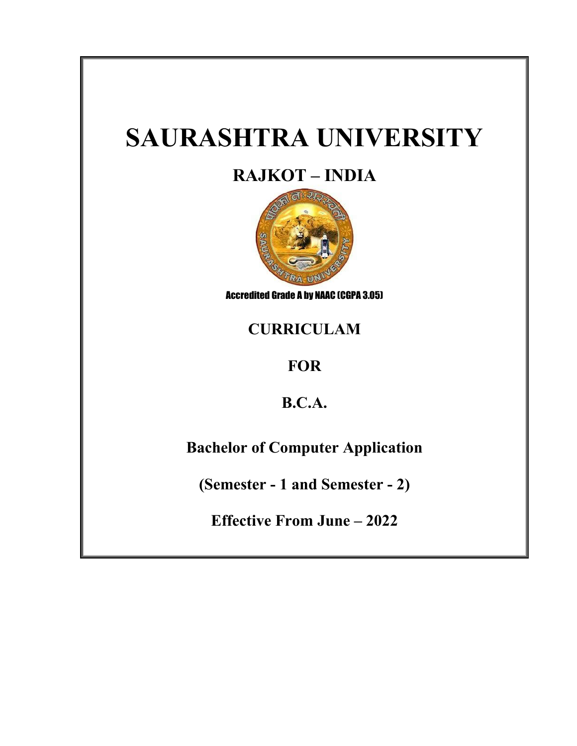# **SAURASHTRA UNIVERSITY**

# **RAJKOT – INDIA**



Accredited Grade A by NAAC (CGPA 3.05)

# **CURRICULAM**

# **FOR**

# **B.C.A.**

# **Bachelor of Computer Application**

**(Semester - 1 and Semester - 2)**

**Effective From June – 2022**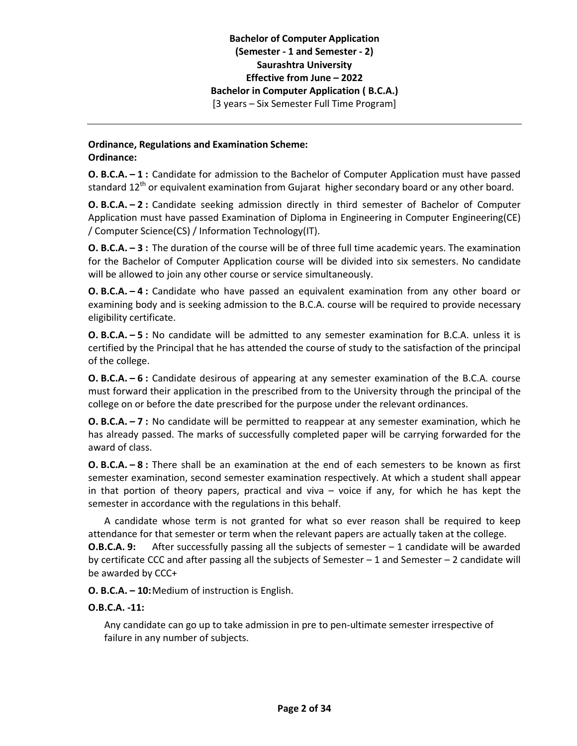# **Ordinance, Regulations and Examination Scheme: Ordinance:**

**O. B.C.A. – 1 :** Candidate for admission to the Bachelor of Computer Application must have passed standard 12<sup>th</sup> or equivalent examination from Gujarat higher secondary board or any other board.

**O. B.C.A. – 2 :** Candidate seeking admission directly in third semester of Bachelor of Computer Application must have passed Examination of Diploma in Engineering in Computer Engineering(CE) / Computer Science(CS) / Information Technology(IT).

**O. B.C.A. – 3 :** The duration of the course will be of three full time academic years. The examination for the Bachelor of Computer Application course will be divided into six semesters. No candidate will be allowed to join any other course or service simultaneously.

**O. B.C.A. – 4 :** Candidate who have passed an equivalent examination from any other board or examining body and is seeking admission to the B.C.A. course will be required to provide necessary eligibility certificate.

**O. B.C.A. – 5 :** No candidate will be admitted to any semester examination for B.C.A. unless it is certified by the Principal that he has attended the course of study to the satisfaction of the principal of the college.

**O. B.C.A. – 6 :** Candidate desirous of appearing at any semester examination of the B.C.A. course must forward their application in the prescribed from to the University through the principal of the college on or before the date prescribed for the purpose under the relevant ordinances.

**O. B.C.A. – 7 :** No candidate will be permitted to reappear at any semester examination, which he has already passed. The marks of successfully completed paper will be carrying forwarded for the award of class.

**O. B.C.A. – 8 :** There shall be an examination at the end of each semesters to be known as first semester examination, second semester examination respectively. At which a student shall appear in that portion of theory papers, practical and viva – voice if any, for which he has kept the semester in accordance with the regulations in this behalf.

A candidate whose term is not granted for what so ever reason shall be required to keep attendance for that semester or term when the relevant papers are actually taken at the college. **O.B.C.A. 9:** After successfully passing all the subjects of semester – 1 candidate will be awarded by certificate CCC and after passing all the subjects of Semester  $-1$  and Semester  $-2$  candidate will be awarded by CCC+

**O. B.C.A. – 10:**Medium of instruction is English.

# **O.B.C.A. -11:**

Any candidate can go up to take admission in pre to pen-ultimate semester irrespective of failure in any number of subjects.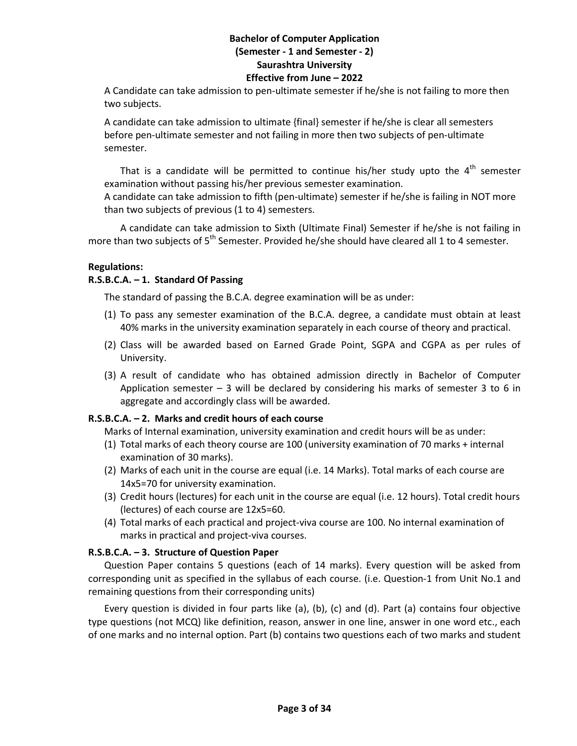A Candidate can take admission to pen-ultimate semester if he/she is not failing to more then two subjects.

A candidate can take admission to ultimate {final} semester if he/she is clear all semesters before pen-ultimate semester and not failing in more then two subjects of pen-ultimate semester.

That is a candidate will be permitted to continue his/her study upto the  $4<sup>th</sup>$  semester examination without passing his/her previous semester examination.

A candidate can take admission to fifth (pen-ultimate) semester if he/she is failing in NOT more than two subjects of previous (1 to 4) semesters.

A candidate can take admission to Sixth (Ultimate Final) Semester if he/she is not failing in more than two subjects of  $5<sup>th</sup>$  Semester. Provided he/she should have cleared all 1 to 4 semester.

# **Regulations:**

# **R.S.B.C.A. – 1. Standard Of Passing**

The standard of passing the B.C.A. degree examination will be as under:

- (1) To pass any semester examination of the B.C.A. degree, a candidate must obtain at least 40% marks in the university examination separately in each course of theory and practical.
- (2) Class will be awarded based on Earned Grade Point, SGPA and CGPA as per rules of University.
- (3) A result of candidate who has obtained admission directly in Bachelor of Computer Application semester  $-3$  will be declared by considering his marks of semester 3 to 6 in aggregate and accordingly class will be awarded.

# **R.S.B.C.A. – 2. Marks and credit hours of each course**

Marks of Internal examination, university examination and credit hours will be as under:

- (1) Total marks of each theory course are 100 (university examination of 70 marks + internal examination of 30 marks).
- (2) Marks of each unit in the course are equal (i.e. 14 Marks). Total marks of each course are 14x5=70 for university examination.
- (3) Credit hours (lectures) for each unit in the course are equal (i.e. 12 hours). Total credit hours (lectures) of each course are 12x5=60.
- (4) Total marks of each practical and project-viva course are 100. No internal examination of marks in practical and project-viva courses.

# **R.S.B.C.A. – 3. Structure of Question Paper**

Question Paper contains 5 questions (each of 14 marks). Every question will be asked from corresponding unit as specified in the syllabus of each course. (i.e. Question-1 from Unit No.1 and remaining questions from their corresponding units)

Every question is divided in four parts like (a), (b), (c) and (d). Part (a) contains four objective type questions (not MCQ) like definition, reason, answer in one line, answer in one word etc., each of one marks and no internal option. Part (b) contains two questions each of two marks and student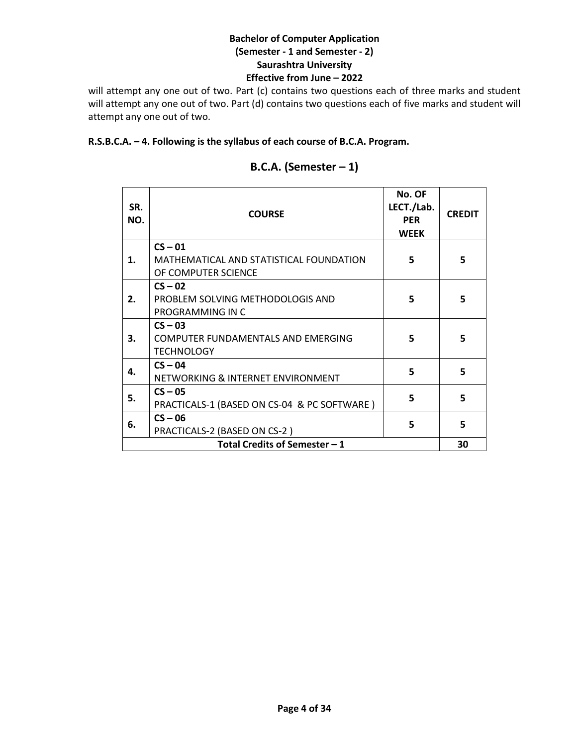will attempt any one out of two. Part (c) contains two questions each of three marks and student will attempt any one out of two. Part (d) contains two questions each of five marks and student will attempt any one out of two.

# **R.S.B.C.A. – 4. Following is the syllabus of each course of B.C.A. Program.**

| SR.<br>NO. | <b>COURSE</b>                                                        | No. OF<br>LECT./Lab.<br><b>PFR</b><br><b>WEEK</b> | <b>CREDIT</b> |
|------------|----------------------------------------------------------------------|---------------------------------------------------|---------------|
| 1.         | $CS - 01$<br>MATHEMATICAL AND STATISTICAL FOUNDATION                 | 5                                                 | 5             |
|            | OF COMPUTER SCIENCE<br>$CS - 02$                                     |                                                   |               |
| 2.         | PROBLEM SOLVING METHODOLOGIS AND<br>PROGRAMMING IN C                 | 5                                                 | 5             |
| 3.         | $CS - 03$<br>COMPUTER FUNDAMENTALS AND EMERGING<br><b>TECHNOLOGY</b> | 5                                                 | 5             |
| 4.         | $CS - 04$<br>NETWORKING & INTERNET ENVIRONMENT                       | 5                                                 | 5             |
| 5.         | $CS - 05$<br>PRACTICALS-1 (BASED ON CS-04 & PC SOFTWARE)             | 5                                                 | 5             |
| 6.         | $CS - 06$<br>PRACTICALS-2 (BASED ON CS-2)                            | 5                                                 | 5.            |
|            | Total Credits of Semester - 1                                        |                                                   | 30            |

# **B.C.A. (Semester – 1)**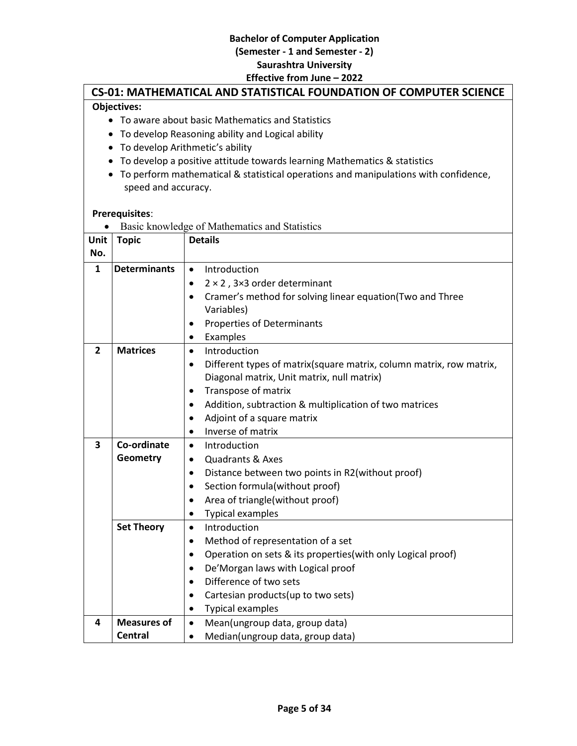# **CS-01: MATHEMATICAL AND STATISTICAL FOUNDATION OF COMPUTER SCIENCE**

# **Objectives:**

- To aware about basic Mathematics and Statistics
- To develop Reasoning ability and Logical ability
- To develop Arithmetic's ability
- To develop a positive attitude towards learning Mathematics & statistics
- To perform mathematical & statistical operations and manipulations with confidence, speed and accuracy.

# **Prerequisites**:

|                |                     | Basic knowledge of Mathematics and Statistics                                    |
|----------------|---------------------|----------------------------------------------------------------------------------|
| Unit           | <b>Topic</b>        | <b>Details</b>                                                                   |
| No.            |                     |                                                                                  |
| $\mathbf{1}$   | <b>Determinants</b> | Introduction<br>$\bullet$                                                        |
|                |                     | $2 \times 2$ , 3×3 order determinant                                             |
|                |                     | Cramer's method for solving linear equation(Two and Three<br>$\bullet$           |
|                |                     | Variables)                                                                       |
|                |                     | <b>Properties of Determinants</b><br>٠                                           |
|                |                     | Examples<br>$\bullet$                                                            |
| $\overline{2}$ | <b>Matrices</b>     | Introduction<br>$\bullet$                                                        |
|                |                     | Different types of matrix(square matrix, column matrix, row matrix,<br>$\bullet$ |
|                |                     | Diagonal matrix, Unit matrix, null matrix)                                       |
|                |                     | Transpose of matrix<br>$\bullet$                                                 |
|                |                     | Addition, subtraction & multiplication of two matrices<br>$\bullet$              |
|                |                     | Adjoint of a square matrix<br>$\bullet$                                          |
|                |                     | Inverse of matrix<br>$\bullet$                                                   |
| 3              | Co-ordinate         | Introduction<br>$\bullet$                                                        |
|                | Geometry            | <b>Quadrants &amp; Axes</b><br>$\bullet$                                         |
|                |                     | Distance between two points in R2(without proof)<br>$\bullet$                    |
|                |                     | Section formula(without proof)<br>$\bullet$                                      |
|                |                     | Area of triangle(without proof)<br>$\bullet$                                     |
|                |                     | <b>Typical examples</b><br>$\bullet$                                             |
|                | <b>Set Theory</b>   | Introduction<br>$\bullet$                                                        |
|                |                     | Method of representation of a set<br>$\bullet$                                   |
|                |                     | Operation on sets & its properties(with only Logical proof)<br>$\bullet$         |
|                |                     | De'Morgan laws with Logical proof<br>$\bullet$                                   |
|                |                     | Difference of two sets<br>$\bullet$                                              |
|                |                     | Cartesian products (up to two sets)<br>$\bullet$                                 |
|                |                     | <b>Typical examples</b><br>$\bullet$                                             |
| 4              | <b>Measures of</b>  | Mean(ungroup data, group data)<br>$\bullet$                                      |
|                | Central             | Median(ungroup data, group data)<br>$\bullet$                                    |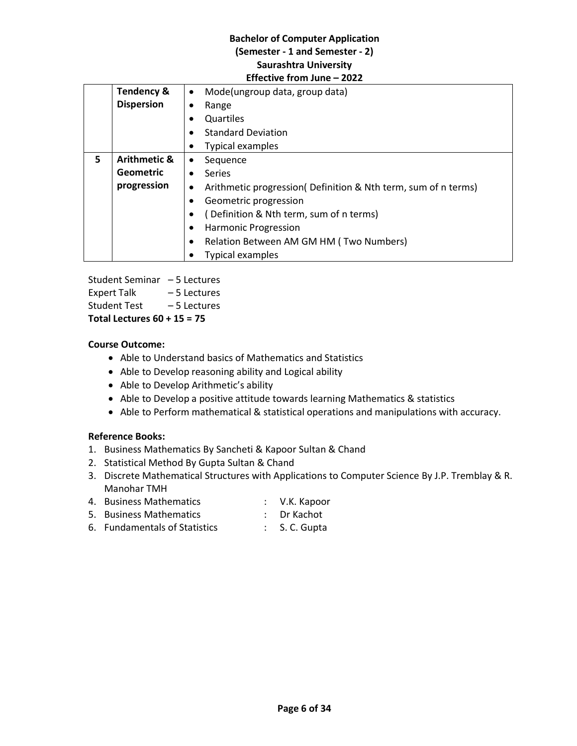|    | <b>Tendency &amp;</b>                   | Mode(ungroup data, group data)<br>$\bullet$                    |  |  |  |
|----|-----------------------------------------|----------------------------------------------------------------|--|--|--|
|    | <b>Dispersion</b>                       | Range                                                          |  |  |  |
|    |                                         | Quartiles                                                      |  |  |  |
|    |                                         | <b>Standard Deviation</b>                                      |  |  |  |
|    |                                         | Typical examples                                               |  |  |  |
| 5. | <b>Arithmetic &amp;</b>                 | Sequence<br>٠                                                  |  |  |  |
|    | <b>Geometric</b>                        | <b>Series</b>                                                  |  |  |  |
|    | progression                             | Arithmetic progression( Definition & Nth term, sum of n terms) |  |  |  |
|    |                                         | Geometric progression                                          |  |  |  |
|    | (Definition & Nth term, sum of n terms) |                                                                |  |  |  |
|    |                                         | <b>Harmonic Progression</b>                                    |  |  |  |
|    |                                         | Relation Between AM GM HM (Two Numbers)                        |  |  |  |
|    |                                         | Typical examples                                               |  |  |  |

Student Seminar – 5 Lectures Expert Talk – 5 Lectures Student Test – 5 Lectures **Total Lectures 60 + 15 = 75**

# **Course Outcome:**

- Able to Understand basics of Mathematics and Statistics
- Able to Develop reasoning ability and Logical ability
- Able to Develop Arithmetic's ability
- Able to Develop a positive attitude towards learning Mathematics & statistics
- Able to Perform mathematical & statistical operations and manipulations with accuracy.

# **Reference Books:**

- 1. Business Mathematics By Sancheti & Kapoor Sultan & Chand
- 2. Statistical Method By Gupta Sultan & Chand
- 3. Discrete Mathematical Structures with Applications to Computer Science By J.P. Tremblay & R. Manohar TMH
- 4. Business Mathematics : V.K. Kapoor
- 5. Business Mathematics : Dr Kachot
- 6. Fundamentals of Statistics : S. C. Gupta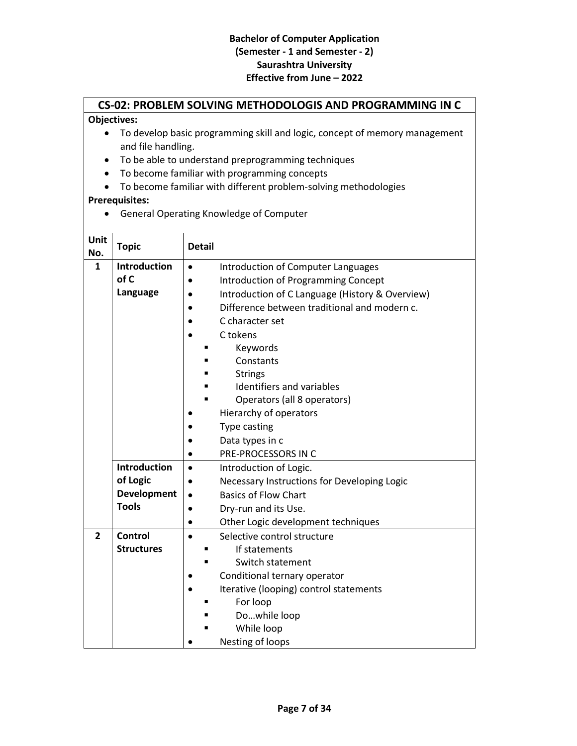# **CS-02: PROBLEM SOLVING METHODOLOGIS AND PROGRAMMING IN C**

# **Objectives:**

- To develop basic programming skill and logic, concept of memory management and file handling.
- To be able to understand preprogramming techniques
- To become familiar with programming concepts
- To become familiar with different problem-solving methodologies

# **Prerequisites:**

General Operating Knowledge of Computer

| Unit<br>No.    | <b>Topic</b>                                                          | <b>Detail</b>                                                                                                                                                                                                                                                                                                                                                                                       |
|----------------|-----------------------------------------------------------------------|-----------------------------------------------------------------------------------------------------------------------------------------------------------------------------------------------------------------------------------------------------------------------------------------------------------------------------------------------------------------------------------------------------|
| $\mathbf{1}$   | <b>Introduction</b><br>of C<br>Language                               | Introduction of Computer Languages<br>$\bullet$<br><b>Introduction of Programming Concept</b><br>Introduction of C Language (History & Overview)<br>Difference between traditional and modern c.<br>C character set<br>C tokens<br>Keywords<br>Constants<br><b>Strings</b><br>Identifiers and variables<br>Operators (all 8 operators)<br>Hierarchy of operators<br>Type casting<br>Data types in c |
|                |                                                                       | PRE-PROCESSORS IN C                                                                                                                                                                                                                                                                                                                                                                                 |
|                | <b>Introduction</b><br>of Logic<br><b>Development</b><br><b>Tools</b> | Introduction of Logic.<br>$\bullet$<br>Necessary Instructions for Developing Logic<br><b>Basics of Flow Chart</b><br>$\bullet$<br>Dry-run and its Use.<br>Other Logic development techniques                                                                                                                                                                                                        |
| $\overline{2}$ | Control<br><b>Structures</b>                                          | Selective control structure<br>$\bullet$<br>If statements<br>Switch statement<br>Conditional ternary operator<br>Iterative (looping) control statements<br>For loop<br>Dowhile loop<br>While loop<br>Nesting of loops                                                                                                                                                                               |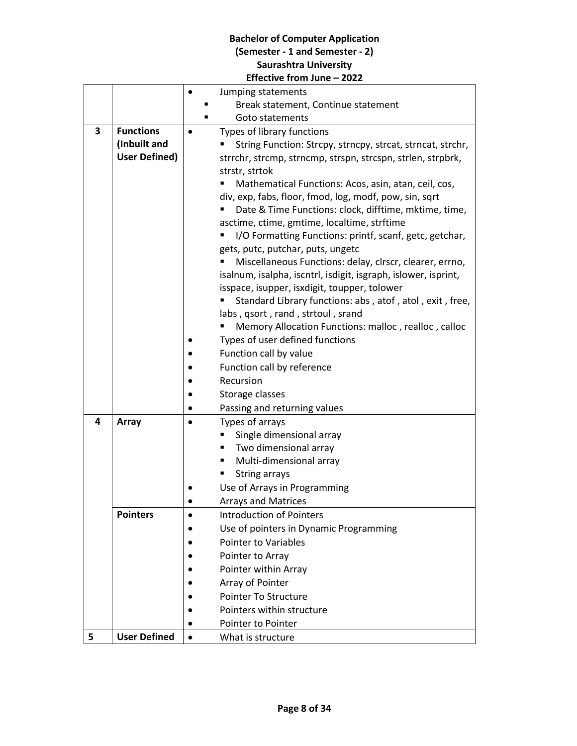|   |                      |           | Jumping statements                                             |  |
|---|----------------------|-----------|----------------------------------------------------------------|--|
|   |                      |           | Break statement, Continue statement                            |  |
|   |                      |           | Goto statements                                                |  |
| 3 | <b>Functions</b>     |           | Types of library functions                                     |  |
|   | (Inbuilt and         |           | String Function: Strcpy, strncpy, strcat, strncat, strchr,     |  |
|   | <b>User Defined)</b> |           | strrchr, strcmp, strncmp, strspn, strcspn, strlen, strpbrk,    |  |
|   |                      |           | strstr, strtok                                                 |  |
|   |                      |           | Mathematical Functions: Acos, asin, atan, ceil, cos,           |  |
|   |                      |           | div, exp, fabs, floor, fmod, log, modf, pow, sin, sqrt         |  |
|   |                      |           | Date & Time Functions: clock, difftime, mktime, time,          |  |
|   |                      |           | asctime, ctime, gmtime, localtime, strftime                    |  |
|   |                      |           | I/O Formatting Functions: printf, scanf, getc, getchar,        |  |
|   |                      |           | gets, putc, putchar, puts, ungetc                              |  |
|   |                      |           | Miscellaneous Functions: delay, clrscr, clearer, errno,        |  |
|   |                      |           | isalnum, isalpha, iscntrl, isdigit, isgraph, islower, isprint, |  |
|   |                      |           | isspace, isupper, isxdigit, toupper, tolower                   |  |
|   |                      |           | Standard Library functions: abs, atof, atol, exit, free,       |  |
|   |                      |           | labs, qsort, rand, strtoul, srand                              |  |
|   |                      |           | Memory Allocation Functions: malloc, realloc, calloc           |  |
|   |                      |           | Types of user defined functions                                |  |
|   |                      |           | Function call by value                                         |  |
|   |                      |           | Function call by reference                                     |  |
|   |                      |           | Recursion                                                      |  |
|   |                      |           | Storage classes                                                |  |
|   |                      |           | Passing and returning values                                   |  |
| 4 | Array                |           | Types of arrays                                                |  |
|   |                      |           | Single dimensional array                                       |  |
|   |                      |           | Two dimensional array<br>٠                                     |  |
|   |                      |           | Multi-dimensional array<br>٠                                   |  |
|   |                      |           | <b>String arrays</b>                                           |  |
|   |                      |           | Use of Arrays in Programming                                   |  |
|   |                      |           | <b>Arrays and Matrices</b>                                     |  |
|   | <b>Pointers</b>      |           | <b>Introduction of Pointers</b>                                |  |
|   |                      |           | Use of pointers in Dynamic Programming                         |  |
|   |                      |           | Pointer to Variables                                           |  |
|   |                      |           | Pointer to Array                                               |  |
|   |                      |           | Pointer within Array                                           |  |
|   |                      |           | Array of Pointer                                               |  |
|   |                      |           | Pointer To Structure                                           |  |
|   |                      |           | Pointers within structure                                      |  |
|   |                      |           | Pointer to Pointer                                             |  |
| 5 | <b>User Defined</b>  | $\bullet$ | What is structure                                              |  |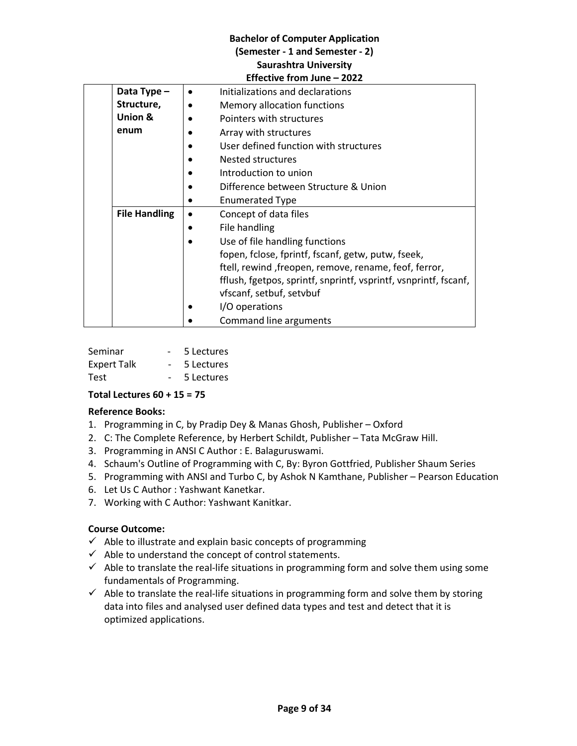| Data Type -          | Initializations and declarations                                 |
|----------------------|------------------------------------------------------------------|
| Structure,           | Memory allocation functions                                      |
| Union &              | Pointers with structures                                         |
| enum                 | Array with structures                                            |
|                      | User defined function with structures                            |
|                      | Nested structures                                                |
|                      | Introduction to union                                            |
|                      | Difference between Structure & Union                             |
|                      | <b>Enumerated Type</b>                                           |
| <b>File Handling</b> | Concept of data files                                            |
|                      | File handling                                                    |
|                      | Use of file handling functions                                   |
|                      | fopen, fclose, fprintf, fscanf, getw, putw, fseek,               |
|                      | ftell, rewind, freopen, remove, rename, feof, ferror,            |
|                      | fflush, fgetpos, sprintf, snprintf, vsprintf, vsnprintf, fscanf, |
|                      | vfscanf, setbuf, setvbuf                                         |
|                      | I/O operations                                                   |
|                      | Command line arguments                                           |

| Seminar            | 5 Lectures |
|--------------------|------------|
| <b>Expert Talk</b> | 5 Lectures |
| <b>Test</b>        | 5 Lectures |

# **Total Lectures 60 + 15 = 75**

# **Reference Books:**

- 1. Programming in C, by Pradip Dey & Manas Ghosh, Publisher Oxford
- 2. C: The Complete Reference, by Herbert Schildt, Publisher Tata McGraw Hill.
- 3. Programming in ANSI C Author : E. Balaguruswami.
- 4. Schaum's Outline of Programming with C, By: Byron Gottfried, Publisher Shaum Series
- 5. Programming with ANSI and Turbo C, by Ashok N Kamthane, Publisher Pearson Education
- 6. Let Us C Author : Yashwant Kanetkar.
- 7. Working with C Author: Yashwant Kanitkar.

# **Course Outcome:**

- $\checkmark$  Able to illustrate and explain basic concepts of programming
- $\checkmark$  Able to understand the concept of control statements.
- $\checkmark$  Able to translate the real-life situations in programming form and solve them using some fundamentals of Programming.
- $\checkmark$  Able to translate the real-life situations in programming form and solve them by storing data into files and analysed user defined data types and test and detect that it is optimized applications.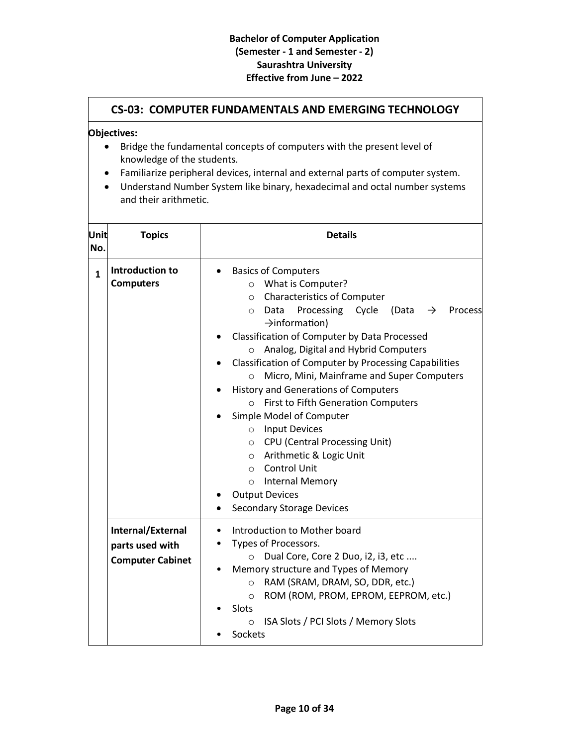|              |                                                                                                                                                                                                                                                                                                                            | <b>CS-03: COMPUTER FUNDAMENTALS AND EMERGING TECHNOLOGY</b>                                                                                                                                                                                                                                                                                                                                                                                                                                                                                                                                                                                                                                                                                                                                          |  |  |  |
|--------------|----------------------------------------------------------------------------------------------------------------------------------------------------------------------------------------------------------------------------------------------------------------------------------------------------------------------------|------------------------------------------------------------------------------------------------------------------------------------------------------------------------------------------------------------------------------------------------------------------------------------------------------------------------------------------------------------------------------------------------------------------------------------------------------------------------------------------------------------------------------------------------------------------------------------------------------------------------------------------------------------------------------------------------------------------------------------------------------------------------------------------------------|--|--|--|
|              | Objectives:<br>Bridge the fundamental concepts of computers with the present level of<br>knowledge of the students.<br>Familiarize peripheral devices, internal and external parts of computer system.<br>$\bullet$<br>Understand Number System like binary, hexadecimal and octal number systems<br>and their arithmetic. |                                                                                                                                                                                                                                                                                                                                                                                                                                                                                                                                                                                                                                                                                                                                                                                                      |  |  |  |
| Unit<br>No.  | <b>Topics</b>                                                                                                                                                                                                                                                                                                              | <b>Details</b>                                                                                                                                                                                                                                                                                                                                                                                                                                                                                                                                                                                                                                                                                                                                                                                       |  |  |  |
| $\mathbf{1}$ | Introduction to<br><b>Computers</b>                                                                                                                                                                                                                                                                                        | <b>Basics of Computers</b><br>What is Computer?<br>$\circ$<br><b>Characteristics of Computer</b><br>$\circ$<br>Data Processing Cycle<br>(Data<br>$\rightarrow$<br>Process<br>$\circ$<br>$\rightarrow$ information)<br>Classification of Computer by Data Processed<br>Analog, Digital and Hybrid Computers<br>$\circ$<br>Classification of Computer by Processing Capabilities<br>Micro, Mini, Mainframe and Super Computers<br>$\circ$<br>History and Generations of Computers<br><b>First to Fifth Generation Computers</b><br>$\circ$<br>Simple Model of Computer<br><b>Input Devices</b><br>$\circ$<br><b>CPU</b> (Central Processing Unit)<br>$\circ$<br>o Arithmetic & Logic Unit<br>o Control Unit<br>Internal Memory<br>$\circ$<br><b>Output Devices</b><br><b>Secondary Storage Devices</b> |  |  |  |
|              | Internal/External<br>parts used with<br><b>Computer Cabinet</b>                                                                                                                                                                                                                                                            | Introduction to Mother board<br>Types of Processors.<br>Dual Core, Core 2 Duo, i2, i3, etc<br>$\circ$<br>Memory structure and Types of Memory<br>RAM (SRAM, DRAM, SO, DDR, etc.)<br>$\circ$<br>ROM (ROM, PROM, EPROM, EEPROM, etc.)<br>$\circ$<br>Slots<br>ISA Slots / PCI Slots / Memory Slots<br>$\circ$<br>Sockets                                                                                                                                                                                                                                                                                                                                                                                                                                                                                |  |  |  |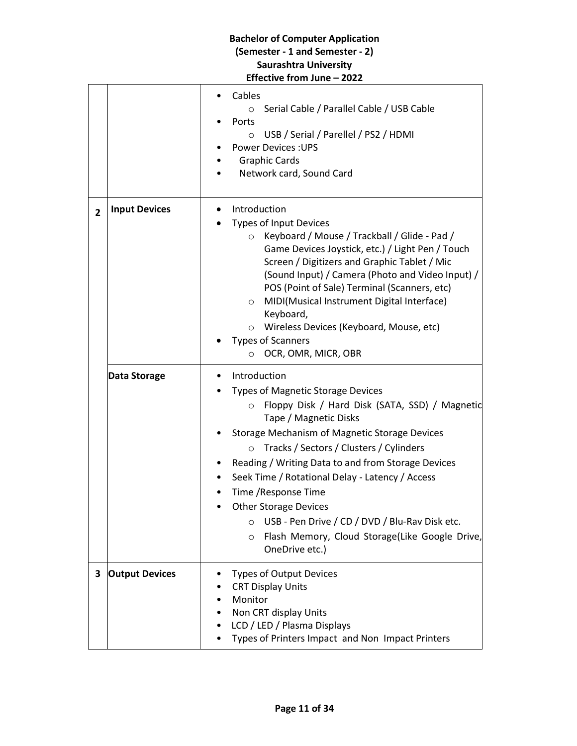|                | <b>Bachelor of Computer Application</b>                         |  |                                                                                                                                                                                                                                                                                                                                                                                                                                                                                |  |
|----------------|-----------------------------------------------------------------|--|--------------------------------------------------------------------------------------------------------------------------------------------------------------------------------------------------------------------------------------------------------------------------------------------------------------------------------------------------------------------------------------------------------------------------------------------------------------------------------|--|
|                | (Semester - 1 and Semester - 2)<br><b>Saurashtra University</b> |  |                                                                                                                                                                                                                                                                                                                                                                                                                                                                                |  |
|                |                                                                 |  | Effective from June - 2022                                                                                                                                                                                                                                                                                                                                                                                                                                                     |  |
|                |                                                                 |  | Cables<br>Serial Cable / Parallel Cable / USB Cable<br>$\circ$<br>Ports<br>USB / Serial / Parellel / PS2 / HDMI<br>$\circ$                                                                                                                                                                                                                                                                                                                                                     |  |
|                |                                                                 |  | <b>Power Devices: UPS</b>                                                                                                                                                                                                                                                                                                                                                                                                                                                      |  |
|                |                                                                 |  | <b>Graphic Cards</b>                                                                                                                                                                                                                                                                                                                                                                                                                                                           |  |
|                |                                                                 |  | Network card, Sound Card                                                                                                                                                                                                                                                                                                                                                                                                                                                       |  |
| $\overline{2}$ | <b>Input Devices</b>                                            |  | Introduction                                                                                                                                                                                                                                                                                                                                                                                                                                                                   |  |
|                |                                                                 |  | <b>Types of Input Devices</b><br>Keyboard / Mouse / Trackball / Glide - Pad /<br>$\circ$<br>Game Devices Joystick, etc.) / Light Pen / Touch<br>Screen / Digitizers and Graphic Tablet / Mic<br>(Sound Input) / Camera (Photo and Video Input) /<br>POS (Point of Sale) Terminal (Scanners, etc)<br>MIDI(Musical Instrument Digital Interface)<br>$\circ$<br>Keyboard,<br>Wireless Devices (Keyboard, Mouse, etc)<br>O<br><b>Types of Scanners</b><br>OCR, OMR, MICR, OBR<br>O |  |
|                | Data Storage                                                    |  | Introduction                                                                                                                                                                                                                                                                                                                                                                                                                                                                   |  |
|                |                                                                 |  | <b>Types of Magnetic Storage Devices</b>                                                                                                                                                                                                                                                                                                                                                                                                                                       |  |
|                |                                                                 |  | Floppy Disk / Hard Disk (SATA, SSD) / Magnetic<br>$\circ$<br>Tape / Magnetic Disks                                                                                                                                                                                                                                                                                                                                                                                             |  |
|                |                                                                 |  | Storage Mechanism of Magnetic Storage Devices                                                                                                                                                                                                                                                                                                                                                                                                                                  |  |
|                |                                                                 |  | Tracks / Sectors / Clusters / Cylinders<br>$\circ$<br>Reading / Writing Data to and from Storage Devices                                                                                                                                                                                                                                                                                                                                                                       |  |
|                |                                                                 |  | Seek Time / Rotational Delay - Latency / Access                                                                                                                                                                                                                                                                                                                                                                                                                                |  |
|                |                                                                 |  | Time / Response Time                                                                                                                                                                                                                                                                                                                                                                                                                                                           |  |
|                |                                                                 |  | <b>Other Storage Devices</b>                                                                                                                                                                                                                                                                                                                                                                                                                                                   |  |
|                |                                                                 |  | USB - Pen Drive / CD / DVD / Blu-Rav Disk etc.<br>$\circ$<br>Flash Memory, Cloud Storage(Like Google Drive,<br>$\circ$<br>OneDrive etc.)                                                                                                                                                                                                                                                                                                                                       |  |
| 3              | <b>Output Devices</b>                                           |  | <b>Types of Output Devices</b><br><b>CRT Display Units</b><br>Monitor<br>Non CRT display Units<br>LCD / LED / Plasma Displays<br>Types of Printers Impact and Non Impact Printers                                                                                                                                                                                                                                                                                              |  |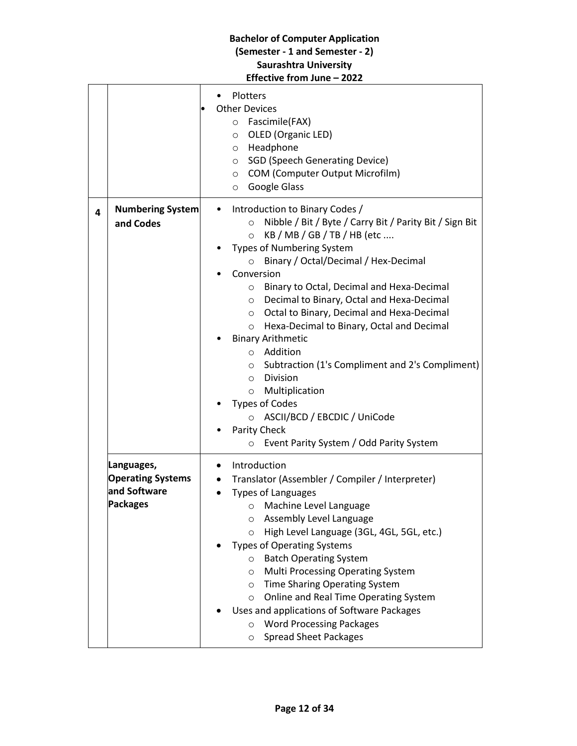|   |                                                                           | <b>Bachelor of Computer Application</b><br>(Semester - 1 and Semester - 2)<br><b>Saurashtra University</b><br>Effective from June - 2022                                                                                                                                                                                                                                                                                                                                                                                                                                                                                                                                                                                                                                            |
|---|---------------------------------------------------------------------------|-------------------------------------------------------------------------------------------------------------------------------------------------------------------------------------------------------------------------------------------------------------------------------------------------------------------------------------------------------------------------------------------------------------------------------------------------------------------------------------------------------------------------------------------------------------------------------------------------------------------------------------------------------------------------------------------------------------------------------------------------------------------------------------|
|   |                                                                           | Plotters<br>$\bullet$<br><b>Other Devices</b><br>Fascimile(FAX)<br>$\circ$<br>OLED (Organic LED)<br>$\circ$<br>Headphone<br>$\circ$<br><b>SGD (Speech Generating Device)</b><br>$\circ$<br>COM (Computer Output Microfilm)<br>$\circ$<br>Google Glass<br>$\circ$                                                                                                                                                                                                                                                                                                                                                                                                                                                                                                                    |
| 4 | <b>Numbering System</b><br>and Codes                                      | Introduction to Binary Codes /<br>Nibble / Bit / Byte / Carry Bit / Parity Bit / Sign Bit<br>$\circ$<br>KB / MB / GB / TB / HB (etc<br>$\Omega$<br><b>Types of Numbering System</b><br>Binary / Octal/Decimal / Hex-Decimal<br>$\circ$<br>Conversion<br>Binary to Octal, Decimal and Hexa-Decimal<br>$\circ$<br>Decimal to Binary, Octal and Hexa-Decimal<br>$\circ$<br>Octal to Binary, Decimal and Hexa-Decimal<br>O<br>Hexa-Decimal to Binary, Octal and Decimal<br>$\circ$<br><b>Binary Arithmetic</b><br>Addition<br>$\circ$<br>Subtraction (1's Compliment and 2's Compliment)<br>$\circ$<br><b>Division</b><br>$\circ$<br>Multiplication<br>$\circ$<br><b>Types of Codes</b><br>ASCII/BCD / EBCDIC / UniCode<br>Parity Check<br>Event Parity System / Odd Parity System<br>O |
|   | Languages,<br><b>Operating Systems</b><br>and Software<br><b>Packages</b> | Introduction<br>$\bullet$<br>Translator (Assembler / Compiler / Interpreter)<br><b>Types of Languages</b><br>Machine Level Language<br>$\circ$<br>Assembly Level Language<br>$\circ$<br>High Level Language (3GL, 4GL, 5GL, etc.)<br>$\circ$<br><b>Types of Operating Systems</b><br><b>Batch Operating System</b><br>$\circ$<br><b>Multi Processing Operating System</b><br>$\circ$<br>Time Sharing Operating System<br>$\circ$<br>Online and Real Time Operating System<br>$\circ$<br>Uses and applications of Software Packages<br><b>Word Processing Packages</b><br>$\circ$<br><b>Spread Sheet Packages</b><br>$\circ$                                                                                                                                                         |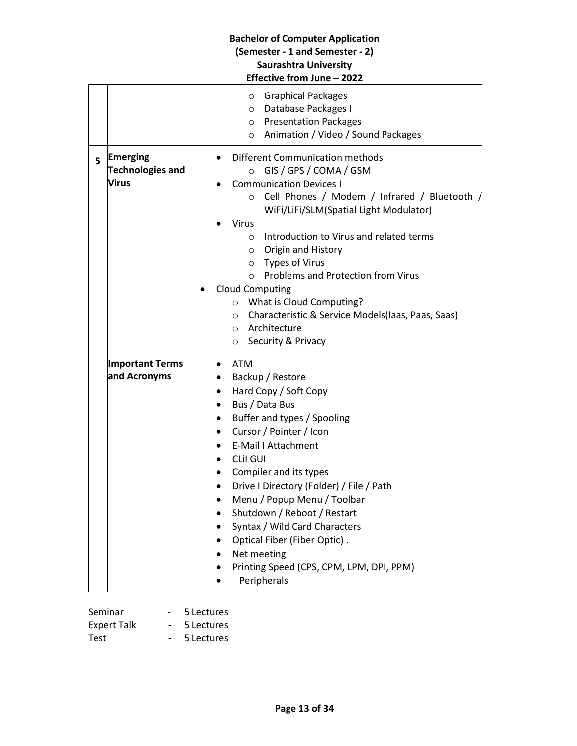|    |                                                            | <b>Bachelor of Computer Application</b><br>(Semester - 1 and Semester - 2)<br><b>Saurashtra University</b><br>Effective from June - 2022                                                                                                                                                                                                                                                                                                                                                                                                                                                                                                                                                                                     |
|----|------------------------------------------------------------|------------------------------------------------------------------------------------------------------------------------------------------------------------------------------------------------------------------------------------------------------------------------------------------------------------------------------------------------------------------------------------------------------------------------------------------------------------------------------------------------------------------------------------------------------------------------------------------------------------------------------------------------------------------------------------------------------------------------------|
| 5. | <b>Emerging</b><br><b>Technologies and</b><br><b>Virus</b> | <b>Graphical Packages</b><br>$\circ$<br>O Database Packages I<br>o Presentation Packages<br>○ Animation / Video / Sound Packages<br>Different Communication methods<br>GIS / GPS / COMA / GSM<br>$\circ$<br><b>Communication Devices I</b><br>o Cell Phones / Modem / Infrared / Bluetooth /<br>WiFi/LiFi/SLM(Spatial Light Modulator)<br><b>Virus</b><br>Introduction to Virus and related terms<br>$\circ$<br>Origin and History<br>$\circ$<br>$\circ$ Types of Virus<br><b>Problems and Protection from Virus</b><br>$\circ$<br><b>Cloud Computing</b><br>What is Cloud Computing?<br>$\circ$<br>Characteristic & Service Models(laas, Paas, Saas)<br>$\circ$<br>Architecture<br>$\circ$<br>Security & Privacy<br>$\circ$ |
|    | <b>Important Terms</b><br>and Acronyms                     | <b>ATM</b><br>Backup / Restore<br>Hard Copy / Soft Copy<br>Bus / Data Bus<br>Buffer and types / Spooling<br>Cursor / Pointer / Icon<br><b>E-Mail I Attachment</b><br><b>CLII GUI</b><br>Compiler and its types<br>Drive I Directory (Folder) / File / Path<br>Menu / Popup Menu / Toolbar<br>Shutdown / Reboot / Restart<br>Syntax / Wild Card Characters<br>Optical Fiber (Fiber Optic).<br>Net meeting<br>Printing Speed (CPS, CPM, LPM, DPI, PPM)<br>Peripherals                                                                                                                                                                                                                                                          |

| Seminar            | 5 Lectures |
|--------------------|------------|
| <b>Expert Talk</b> | 5 Lectures |
| Test               | 5 Lectures |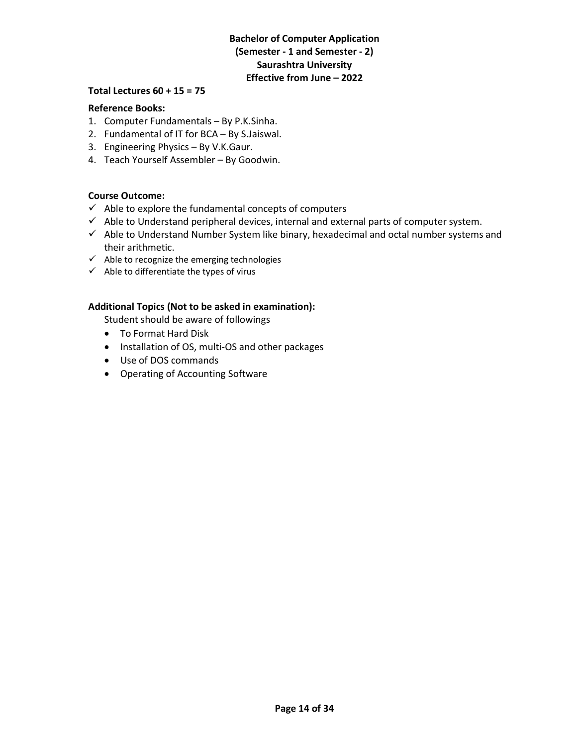# **Total Lectures 60 + 15 = 75**

# **Reference Books:**

- 1. Computer Fundamentals By P.K.Sinha.
- 2. Fundamental of IT for BCA By S.Jaiswal.
- 3. Engineering Physics By V.K.Gaur.
- 4. Teach Yourself Assembler By Goodwin.

#### **Course Outcome:**

- $\checkmark$  Able to explore the fundamental concepts of computers
- $\checkmark$  Able to Understand peripheral devices, internal and external parts of computer system.
- $\checkmark$  Able to Understand Number System like binary, hexadecimal and octal number systems and their arithmetic.
- $\checkmark$  Able to recognize the emerging technologies
- $\checkmark$  Able to differentiate the types of virus

#### **Additional Topics (Not to be asked in examination):**

Student should be aware of followings

- To Format Hard Disk
- Installation of OS, multi-OS and other packages
- Use of DOS commands
- Operating of Accounting Software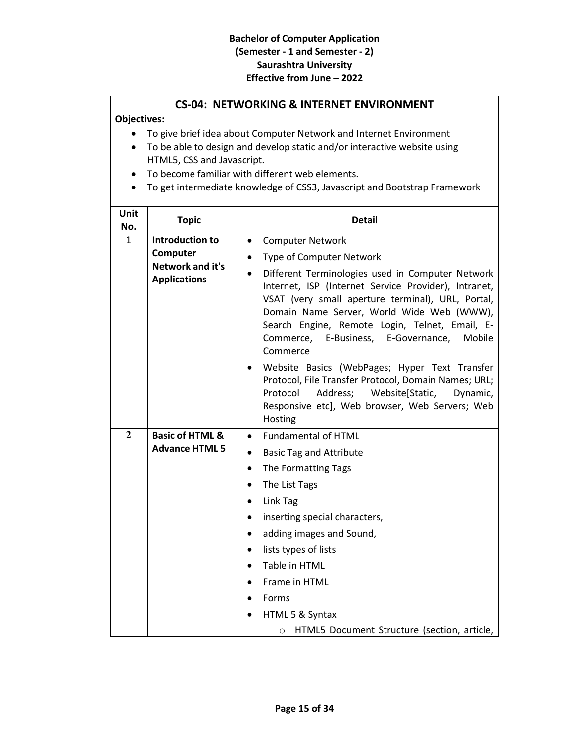# **CS-04: NETWORKING & INTERNET ENVIRONMENT**

# **Objectives:**

- To give brief idea about Computer Network and Internet Environment
- To be able to design and develop static and/or interactive website using HTML5, CSS and Javascript.
- To become familiar with different web elements.
- To get intermediate knowledge of CSS3, Javascript and Bootstrap Framework

| Unit<br>No.    | <b>Topic</b>                                                                  | <b>Detail</b>                                                                                                                                                                                                                                                                                                                                                                                                                                                      |
|----------------|-------------------------------------------------------------------------------|--------------------------------------------------------------------------------------------------------------------------------------------------------------------------------------------------------------------------------------------------------------------------------------------------------------------------------------------------------------------------------------------------------------------------------------------------------------------|
| $\mathbf{1}$   | <b>Introduction to</b><br>Computer<br>Network and it's<br><b>Applications</b> | <b>Computer Network</b><br>$\bullet$<br><b>Type of Computer Network</b><br>Different Terminologies used in Computer Network<br>$\bullet$<br>Internet, ISP (Internet Service Provider), Intranet,<br>VSAT (very small aperture terminal), URL, Portal,<br>Domain Name Server, World Wide Web (WWW),<br>Search Engine, Remote Login, Telnet, Email, E-<br>Commerce, E-Business, E-Governance,<br>Mobile<br>Commerce<br>Website Basics (WebPages; Hyper Text Transfer |
|                |                                                                               | Protocol, File Transfer Protocol, Domain Names; URL;<br>Protocol<br>Address; Website[Static,<br>Dynamic,<br>Responsive etc], Web browser, Web Servers; Web<br>Hosting                                                                                                                                                                                                                                                                                              |
| $\overline{2}$ | <b>Basic of HTML &amp;</b><br><b>Advance HTML 5</b>                           | <b>Fundamental of HTML</b><br>$\bullet$<br><b>Basic Tag and Attribute</b><br>$\bullet$<br>The Formatting Tags<br>$\bullet$<br>The List Tags<br>Link Tag<br>inserting special characters,<br>$\bullet$<br>adding images and Sound,<br>$\bullet$<br>lists types of lists<br>$\bullet$<br>Table in HTML<br>Frame in HTML<br>Forms<br>HTML 5 & Syntax<br>HTML5 Document Structure (section, article,<br>O                                                              |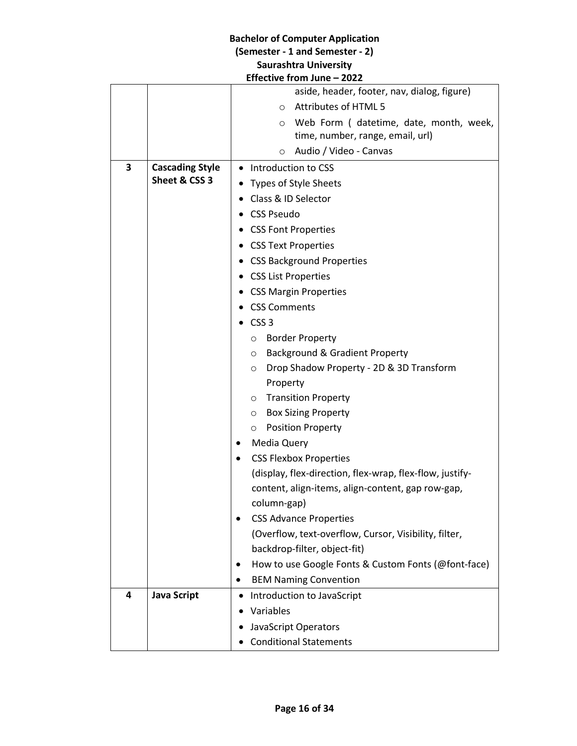| Lifective from June – 2022 |                        |                                                          |  |  |
|----------------------------|------------------------|----------------------------------------------------------|--|--|
|                            |                        | aside, header, footer, nav, dialog, figure)              |  |  |
|                            |                        | Attributes of HTML 5<br>$\circ$                          |  |  |
|                            |                        | Web Form (datetime, date, month, week,<br>O              |  |  |
|                            |                        | time, number, range, email, url)                         |  |  |
|                            |                        | Audio / Video - Canvas<br>O                              |  |  |
| 3                          | <b>Cascading Style</b> | • Introduction to CSS                                    |  |  |
|                            | Sheet & CSS 3          | Types of Style Sheets                                    |  |  |
|                            |                        | Class & ID Selector                                      |  |  |
|                            |                        | <b>CSS Pseudo</b>                                        |  |  |
|                            |                        | <b>CSS Font Properties</b>                               |  |  |
|                            |                        | <b>CSS Text Properties</b>                               |  |  |
|                            |                        | <b>CSS Background Properties</b>                         |  |  |
|                            |                        | <b>CSS List Properties</b>                               |  |  |
|                            |                        | <b>CSS Margin Properties</b>                             |  |  |
|                            |                        | <b>CSS Comments</b>                                      |  |  |
|                            |                        | CSS <sub>3</sub>                                         |  |  |
|                            |                        | <b>Border Property</b><br>$\circ$                        |  |  |
|                            |                        | Background & Gradient Property<br>$\circ$                |  |  |
|                            |                        | Drop Shadow Property - 2D & 3D Transform<br>$\circ$      |  |  |
|                            |                        | Property                                                 |  |  |
|                            |                        | <b>Transition Property</b><br>$\circ$                    |  |  |
|                            |                        | <b>Box Sizing Property</b><br>$\circ$                    |  |  |
|                            |                        | <b>Position Property</b><br>О                            |  |  |
|                            |                        | Media Query<br>٠                                         |  |  |
|                            |                        | <b>CSS Flexbox Properties</b><br>$\bullet$               |  |  |
|                            |                        | (display, flex-direction, flex-wrap, flex-flow, justify- |  |  |
|                            |                        | content, align-items, align-content, gap row-gap,        |  |  |
|                            |                        | column-gap)                                              |  |  |
|                            |                        | <b>CSS Advance Properties</b>                            |  |  |
|                            |                        | (Overflow, text-overflow, Cursor, Visibility, filter,    |  |  |
|                            |                        | backdrop-filter, object-fit)                             |  |  |
|                            |                        | How to use Google Fonts & Custom Fonts (@font-face)<br>٠ |  |  |
|                            |                        | <b>BEM Naming Convention</b>                             |  |  |
| 4                          | <b>Java Script</b>     | Introduction to JavaScript<br>٠                          |  |  |
|                            |                        | Variables                                                |  |  |
|                            |                        | JavaScript Operators                                     |  |  |
|                            |                        | <b>Conditional Statements</b>                            |  |  |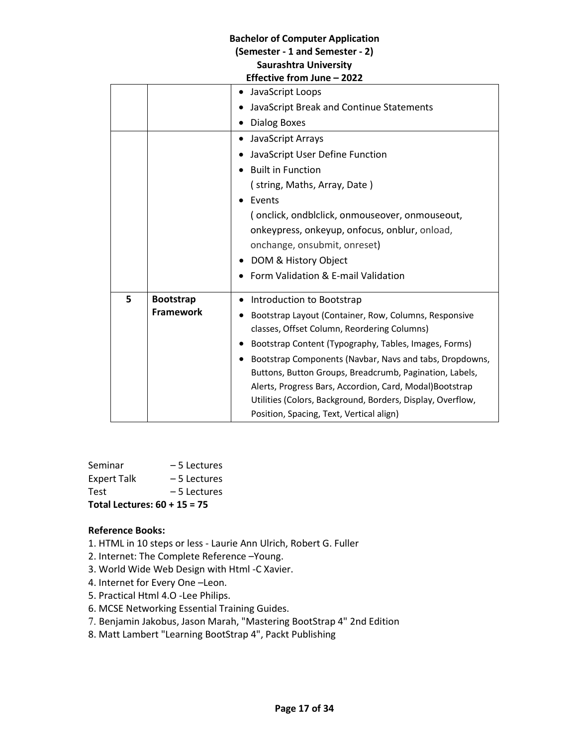|   | Effective from June – 2022 |                                                            |  |
|---|----------------------------|------------------------------------------------------------|--|
|   |                            | JavaScript Loops                                           |  |
|   |                            | JavaScript Break and Continue Statements                   |  |
|   |                            | <b>Dialog Boxes</b>                                        |  |
|   |                            | JavaScript Arrays                                          |  |
|   |                            | JavaScript User Define Function                            |  |
|   |                            | <b>Built in Function</b>                                   |  |
|   |                            | (string, Maths, Array, Date)                               |  |
|   |                            | Events                                                     |  |
|   |                            | (onclick, ondbiclick, onmouseover, onmouseout,             |  |
|   |                            | onkeypress, onkeyup, onfocus, onblur, onload,              |  |
|   |                            | onchange, onsubmit, onreset)                               |  |
|   |                            | DOM & History Object                                       |  |
|   |                            | Form Validation & E-mail Validation                        |  |
| 5 | <b>Bootstrap</b>           | Introduction to Bootstrap                                  |  |
|   | <b>Framework</b>           | Bootstrap Layout (Container, Row, Columns, Responsive      |  |
|   |                            | classes, Offset Column, Reordering Columns)                |  |
|   |                            | Bootstrap Content (Typography, Tables, Images, Forms)      |  |
|   |                            | Bootstrap Components (Navbar, Navs and tabs, Dropdowns,    |  |
|   |                            | Buttons, Button Groups, Breadcrumb, Pagination, Labels,    |  |
|   |                            | Alerts, Progress Bars, Accordion, Card, Modal)Bootstrap    |  |
|   |                            | Utilities (Colors, Background, Borders, Display, Overflow, |  |
|   |                            | Position, Spacing, Text, Vertical align)                   |  |

| Seminar                        | – 5 Lectures  |  |
|--------------------------------|---------------|--|
| <b>Expert Talk</b>             | – 5 Lectures  |  |
| Test                           | $-5$ Lectures |  |
| Total Lectures: $60 + 15 = 75$ |               |  |

# **Reference Books:**

- 1. HTML in 10 steps or less Laurie Ann Ulrich, Robert G. Fuller
- 2. Internet: The Complete Reference –Young.
- 3. World Wide Web Design with Html -C Xavier.
- 4. Internet for Every One –Leon.
- 5. Practical Html 4.O -Lee Philips.
- 6. MCSE Networking Essential Training Guides.
- 7. Benjamin Jakobus, Jason Marah, "Mastering BootStrap 4" 2nd Edition
- 8. Matt Lambert "Learning BootStrap 4", Packt Publishing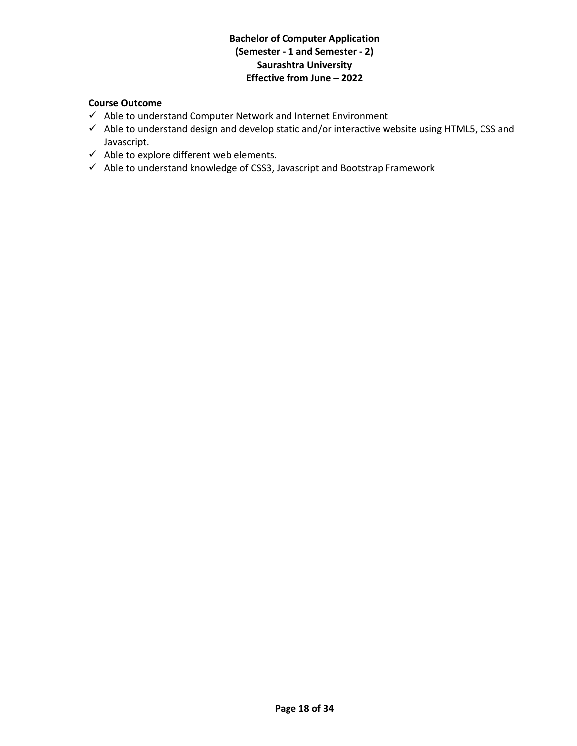# **Course Outcome**

- $\checkmark$  Able to understand Computer Network and Internet Environment
- $\checkmark$  Able to understand design and develop static and/or interactive website using HTML5, CSS and Javascript.
- $\checkmark$  Able to explore different web elements.
- $\checkmark$  Able to understand knowledge of CSS3, Javascript and Bootstrap Framework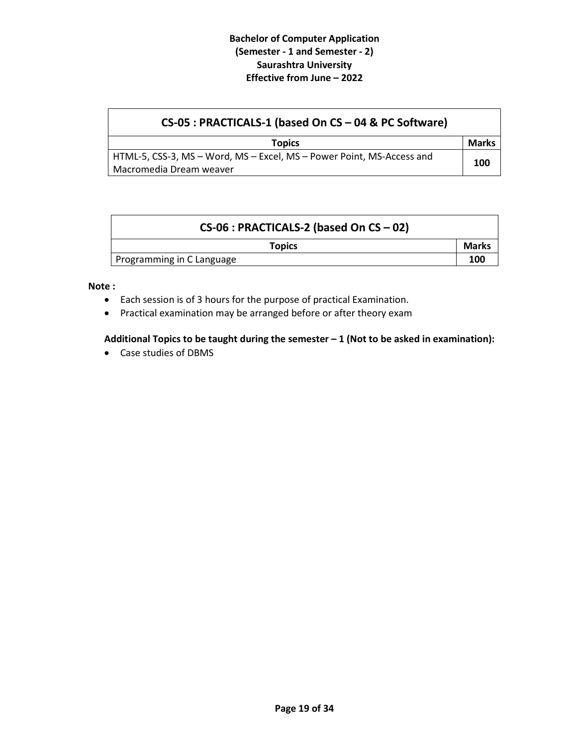| CS-05 : PRACTICALS-1 (based On CS - 04 & PC Software)                 |              |
|-----------------------------------------------------------------------|--------------|
| <b>Topics</b>                                                         | <b>Marks</b> |
| HTML-5, CSS-3, MS - Word, MS - Excel, MS - Power Point, MS-Access and | 100          |
| Macromedia Dream weaver                                               |              |

| $CS-06$ : PRACTICALS-2 (based On CS - 02) |       |
|-------------------------------------------|-------|
| <b>Topics</b>                             | Marks |
| Programming in C Language                 | 100   |

#### **Note :**

- Each session is of 3 hours for the purpose of practical Examination.
- Practical examination may be arranged before or after theory exam

# **Additional Topics to be taught during the semester – 1 (Not to be asked in examination):**

Case studies of DBMS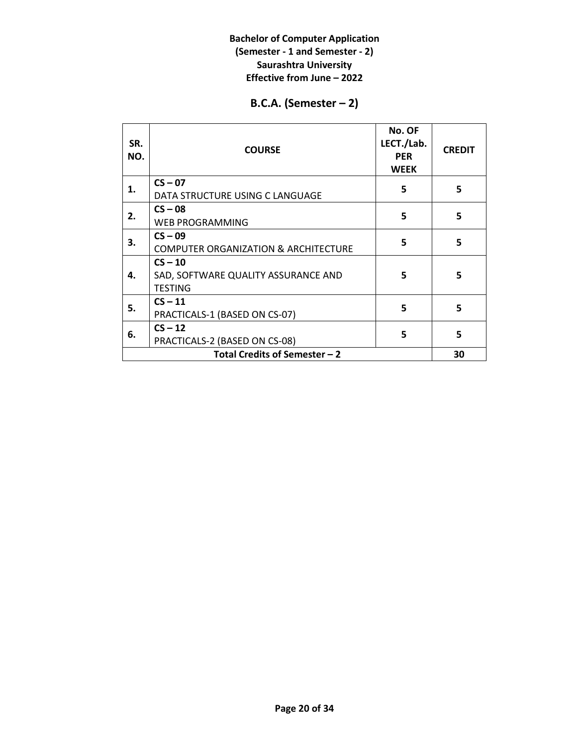# **B.C.A. (Semester – 2)**

| SR.<br>NO.                    | <b>COURSE</b>                                                      | No. OF<br>LECT./Lab.<br><b>PER</b><br><b>WEEK</b> | <b>CREDIT</b> |
|-------------------------------|--------------------------------------------------------------------|---------------------------------------------------|---------------|
| 1.                            | $CS - 07$<br>DATA STRUCTURE USING C LANGUAGE                       | 5                                                 | 5             |
| 2.                            | $CS - 08$<br><b>WEB PROGRAMMING</b>                                | 5                                                 | 5             |
| З.                            | $CS - 09$<br><b>COMPUTER ORGANIZATION &amp; ARCHITECTURE</b>       | 5                                                 | 5             |
| 4.                            | $CS - 10$<br>SAD, SOFTWARE QUALITY ASSURANCE AND<br><b>TESTING</b> | 5                                                 | 5             |
| 5.                            | $CS - 11$<br>PRACTICALS-1 (BASED ON CS-07)                         | 5                                                 | 5             |
| 6.                            | $CS - 12$<br>PRACTICALS-2 (BASED ON CS-08)                         | 5                                                 | 5             |
| Total Credits of Semester - 2 |                                                                    |                                                   |               |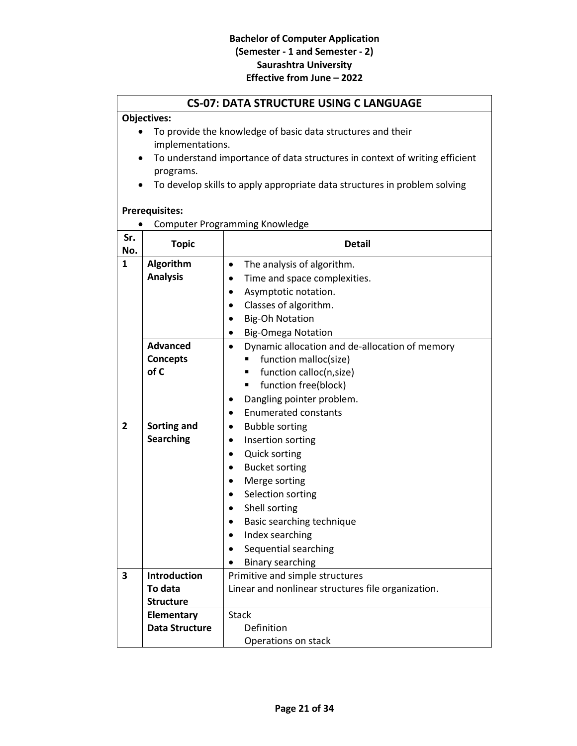# **CS-07: DATA STRUCTURE USING C LANGUAGE**

# **Objectives:**

- To provide the knowledge of basic data structures and their implementations.
- To understand importance of data structures in context of writing efficient programs.
- To develop skills to apply appropriate data structures in problem solving

#### **Prerequisites:**

|     | <b>Computer Programming Knowledge</b> |  |
|-----|---------------------------------------|--|
| Cr. |                                       |  |

| Sr.<br>No.     | <b>Topic</b>          | <b>Detail</b>                                               |
|----------------|-----------------------|-------------------------------------------------------------|
| $\mathbf{1}$   | Algorithm             | The analysis of algorithm.<br>$\bullet$                     |
|                | <b>Analysis</b>       | Time and space complexities.                                |
|                |                       | Asymptotic notation.                                        |
|                |                       | Classes of algorithm.                                       |
|                |                       | <b>Big-Oh Notation</b><br>$\bullet$                         |
|                |                       | <b>Big-Omega Notation</b><br>$\bullet$                      |
|                | <b>Advanced</b>       | Dynamic allocation and de-allocation of memory<br>$\bullet$ |
|                | <b>Concepts</b>       | function malloc(size)<br>٠                                  |
|                | of C                  | function calloc(n,size)                                     |
|                |                       | function free(block)<br>٠                                   |
|                |                       | Dangling pointer problem.<br>$\bullet$                      |
|                |                       | <b>Enumerated constants</b><br>$\bullet$                    |
| $\overline{2}$ | Sorting and           | <b>Bubble sorting</b><br>$\bullet$                          |
|                | <b>Searching</b>      | Insertion sorting                                           |
|                |                       | <b>Quick sorting</b><br>$\bullet$                           |
|                |                       | <b>Bucket sorting</b><br>$\bullet$                          |
|                |                       | Merge sorting<br>$\bullet$                                  |
|                |                       | Selection sorting                                           |
|                |                       | Shell sorting                                               |
|                |                       | Basic searching technique                                   |
|                |                       | Index searching<br>$\bullet$                                |
|                |                       | Sequential searching                                        |
|                |                       | <b>Binary searching</b>                                     |
| 3              | <b>Introduction</b>   | Primitive and simple structures                             |
|                | To data               | Linear and nonlinear structures file organization.          |
|                | <b>Structure</b>      |                                                             |
|                | <b>Elementary</b>     | <b>Stack</b>                                                |
|                | <b>Data Structure</b> | Definition                                                  |
|                |                       | Operations on stack                                         |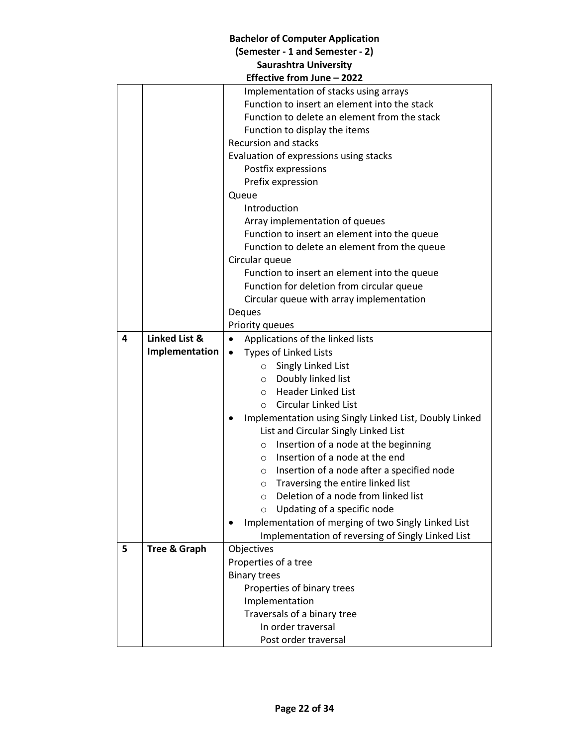# **Bachelor of Computer Application (Semester - 1 and Semester - 2) Saurashtra University**

|   | Effective from June - 2022 |                                                        |  |
|---|----------------------------|--------------------------------------------------------|--|
|   |                            | Implementation of stacks using arrays                  |  |
|   |                            | Function to insert an element into the stack           |  |
|   |                            | Function to delete an element from the stack           |  |
|   |                            | Function to display the items                          |  |
|   |                            | <b>Recursion and stacks</b>                            |  |
|   |                            | Evaluation of expressions using stacks                 |  |
|   |                            | Postfix expressions                                    |  |
|   |                            | Prefix expression                                      |  |
|   |                            | Queue                                                  |  |
|   |                            | Introduction                                           |  |
|   |                            | Array implementation of queues                         |  |
|   |                            | Function to insert an element into the queue           |  |
|   |                            | Function to delete an element from the queue           |  |
|   |                            | Circular queue                                         |  |
|   |                            | Function to insert an element into the queue           |  |
|   |                            | Function for deletion from circular queue              |  |
|   |                            | Circular queue with array implementation               |  |
|   |                            | Deques                                                 |  |
|   |                            | Priority queues                                        |  |
| 4 | <b>Linked List &amp;</b>   | Applications of the linked lists<br>$\bullet$          |  |
|   | Implementation             | <b>Types of Linked Lists</b><br>$\bullet$              |  |
|   |                            | ○ Singly Linked List                                   |  |
|   |                            | O Doubly linked list                                   |  |
|   |                            | <b>Header Linked List</b>                              |  |
|   |                            | $\circ$                                                |  |
|   |                            | Circular Linked List<br>$\bigcap$                      |  |
|   |                            | Implementation using Singly Linked List, Doubly Linked |  |
|   |                            | List and Circular Singly Linked List                   |  |
|   |                            | Insertion of a node at the beginning<br>$\circ$        |  |
|   |                            | Insertion of a node at the end<br>$\circ$              |  |
|   |                            | Insertion of a node after a specified node<br>$\circ$  |  |
|   |                            | Traversing the entire linked list<br>$\circ$           |  |
|   |                            | Deletion of a node from linked list<br>$\circ$         |  |
|   |                            | Updating of a specific node<br>$\circ$                 |  |
|   |                            | Implementation of merging of two Singly Linked List    |  |
|   |                            | Implementation of reversing of Singly Linked List      |  |
| 5 | <b>Tree &amp; Graph</b>    | Objectives                                             |  |
|   |                            | Properties of a tree                                   |  |
|   |                            | <b>Binary trees</b>                                    |  |
|   |                            | Properties of binary trees                             |  |
|   |                            | Implementation                                         |  |
|   |                            | Traversals of a binary tree                            |  |
|   |                            | In order traversal                                     |  |
|   |                            | Post order traversal                                   |  |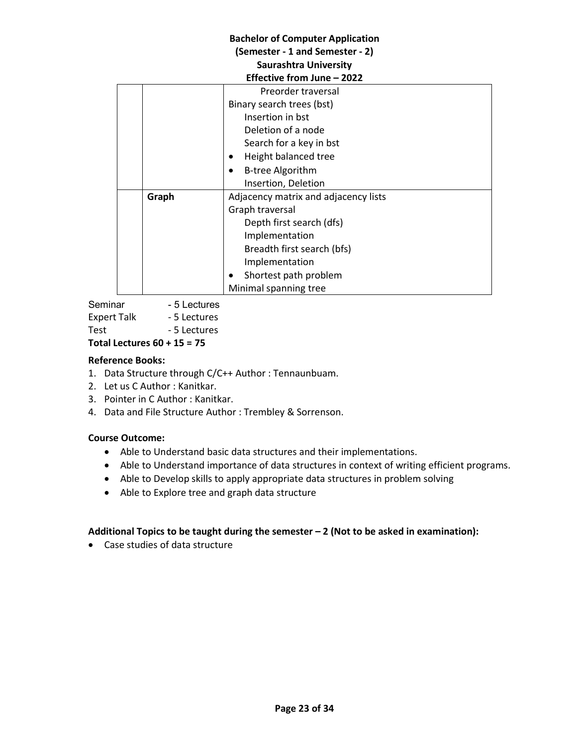| <b>Bachelor of Computer Application</b> |                              |                                      |  |
|-----------------------------------------|------------------------------|--------------------------------------|--|
| (Semester - 1 and Semester - 2)         |                              |                                      |  |
|                                         | <b>Saurashtra University</b> |                                      |  |
|                                         |                              | Effective from June - 2022           |  |
|                                         |                              | Preorder traversal                   |  |
|                                         |                              | Binary search trees (bst)            |  |
|                                         |                              | Insertion in bst                     |  |
|                                         |                              | Deletion of a node                   |  |
|                                         |                              | Search for a key in bst              |  |
|                                         |                              | Height balanced tree                 |  |
|                                         |                              | <b>B-tree Algorithm</b>              |  |
|                                         |                              | Insertion, Deletion                  |  |
|                                         | Graph                        | Adjacency matrix and adjacency lists |  |
|                                         |                              | Graph traversal                      |  |
|                                         |                              | Depth first search (dfs)             |  |
|                                         |                              | Implementation                       |  |
|                                         |                              | Breadth first search (bfs)           |  |
|                                         |                              | Implementation                       |  |
|                                         |                              | Shortest path problem                |  |
|                                         |                              | Minimal spanning tree                |  |

Seminar - 5 Lectures Expert Talk - 5 Lectures Test - 5 Lectures

**Total Lectures 60 + 15 = 75**

# **Reference Books:**

- 1. Data Structure through C/C++ Author : Tennaunbuam.
- 2. Let us C Author : Kanitkar.
- 3. Pointer in C Author : Kanitkar.
- 4. Data and File Structure Author : Trembley & Sorrenson.

# **Course Outcome:**

- Able to Understand basic data structures and their implementations.
- Able to Understand importance of data structures in context of writing efficient programs.
- Able to Develop skills to apply appropriate data structures in problem solving
- Able to Explore tree and graph data structure

# **Additional Topics to be taught during the semester – 2 (Not to be asked in examination):**

Case studies of data structure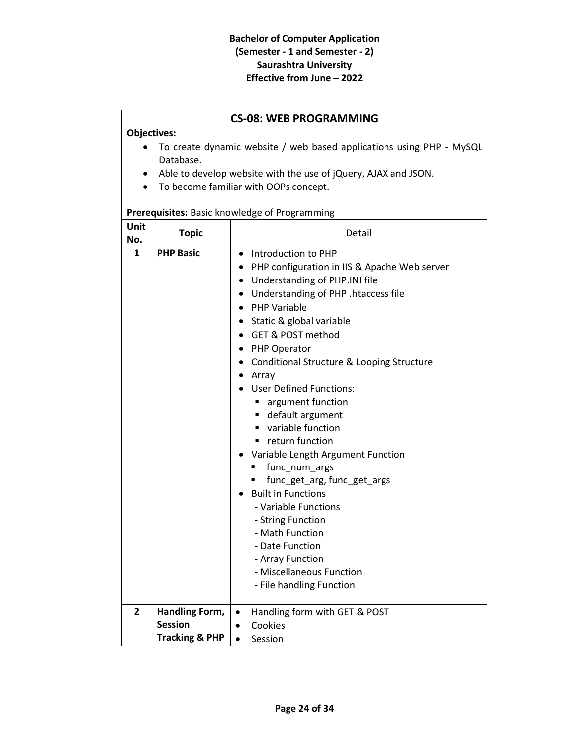# **CS-08: WEB PROGRAMMING**

#### **Objectives:**

- To create dynamic website / web based applications using PHP MySQL Database.
- Able to develop website with the use of jQuery, AJAX and JSON.
- To become familiar with OOPs concept.

# **Prerequisites:** Basic knowledge of Programming

| Unit<br>No.    | <b>Topic</b>                     | Detail                                                                                                                                                                                                                                                                                                                                                                                                                                                                                                                                                                                                                                                                                                                                                      |
|----------------|----------------------------------|-------------------------------------------------------------------------------------------------------------------------------------------------------------------------------------------------------------------------------------------------------------------------------------------------------------------------------------------------------------------------------------------------------------------------------------------------------------------------------------------------------------------------------------------------------------------------------------------------------------------------------------------------------------------------------------------------------------------------------------------------------------|
| $\mathbf{1}$   | <b>PHP Basic</b>                 | Introduction to PHP<br>$\bullet$<br>PHP configuration in IIS & Apache Web server<br>• Understanding of PHP.INI file<br>Understanding of PHP .htaccess file<br><b>PHP Variable</b><br>$\bullet$<br>• Static & global variable<br>GET & POST method<br>• PHP Operator<br>Conditional Structure & Looping Structure<br>Array<br><b>User Defined Functions:</b><br>argument function<br>п<br>■ default argument<br>variable function<br>$\blacksquare$<br>return function<br>٠<br>Variable Length Argument Function<br>func_num_args<br>func_get_arg, func_get_args<br><b>Built in Functions</b><br>- Variable Functions<br>- String Function<br>- Math Function<br>- Date Function<br>- Array Function<br>- Miscellaneous Function<br>- File handling Function |
| $\overline{2}$ | Handling Form,<br><b>Session</b> | Handling form with GET & POST<br>$\bullet$<br>Cookies                                                                                                                                                                                                                                                                                                                                                                                                                                                                                                                                                                                                                                                                                                       |
|                | <b>Tracking &amp; PHP</b>        | Session                                                                                                                                                                                                                                                                                                                                                                                                                                                                                                                                                                                                                                                                                                                                                     |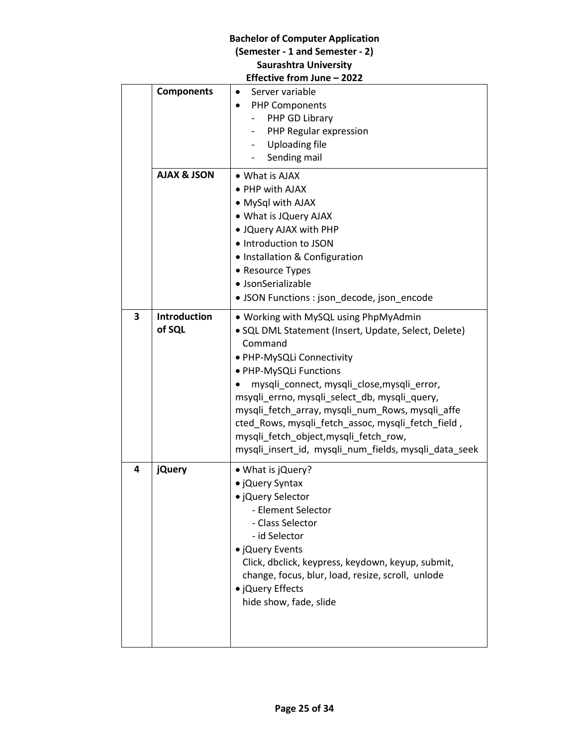# **Bachelor of Computer Application (Semester - 1 and Semester - 2) Saurashtra University**

|   | Effective from June - 2022    |                                                                                                                                                                                                                                                                                                                                                                                                                                                                             |  |  |
|---|-------------------------------|-----------------------------------------------------------------------------------------------------------------------------------------------------------------------------------------------------------------------------------------------------------------------------------------------------------------------------------------------------------------------------------------------------------------------------------------------------------------------------|--|--|
|   | <b>Components</b>             | Server variable<br><b>PHP Components</b><br>PHP GD Library<br>PHP Regular expression<br><b>Uploading file</b><br>Sending mail                                                                                                                                                                                                                                                                                                                                               |  |  |
|   | <b>AJAX &amp; JSON</b>        | • What is AJAX<br>• PHP with AJAX<br>• MySql with AJAX<br>• What is JQuery AJAX<br>. JQuery AJAX with PHP<br>• Introduction to JSON<br>• Installation & Configuration<br>• Resource Types<br>· JsonSerializable<br>• JSON Functions : json_decode, json_encode                                                                                                                                                                                                              |  |  |
| 3 | <b>Introduction</b><br>of SQL | • Working with MySQL using PhpMyAdmin<br>· SQL DML Statement (Insert, Update, Select, Delete)<br>Command<br>· PHP-MySQLi Connectivity<br>· PHP-MySQLi Functions<br>mysqli_connect, mysqli_close, mysqli_error,<br>msyqli_errno, mysqli_select_db, mysqli_query,<br>mysqli_fetch_array, mysqli_num_Rows, mysqli_affe<br>cted_Rows, mysqli_fetch_assoc, mysqli_fetch_field,<br>mysqli_fetch_object,mysqli_fetch_row,<br>mysqli_insert_id, mysqli_num_fields, mysqli_data_seek |  |  |
| 4 | <b>jQuery</b>                 | • What is jQuery?<br>· jQuery Syntax<br>· jQuery Selector<br>- Element Selector<br>- Class Selector<br>- id Selector<br>• ¡Query Events<br>Click, dbclick, keypress, keydown, keyup, submit,<br>change, focus, blur, load, resize, scroll, unlode<br>• jQuery Effects<br>hide show, fade, slide                                                                                                                                                                             |  |  |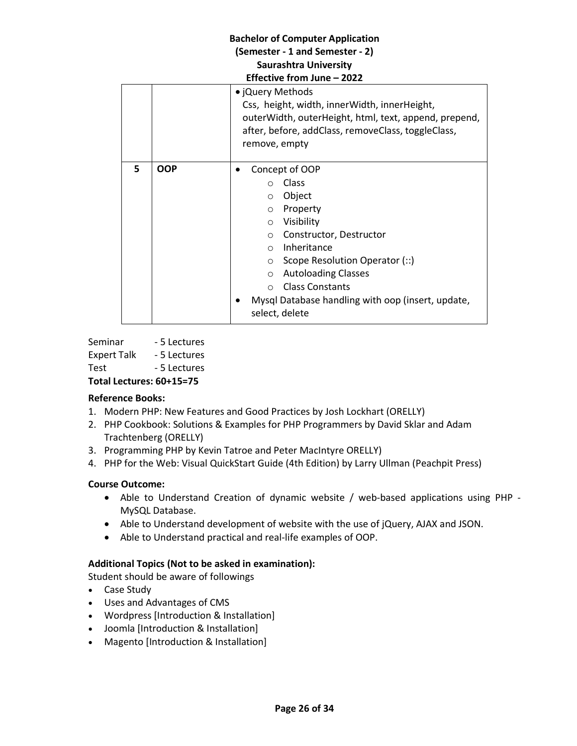# **Bachelor of Computer Application (Semester - 1 and Semester - 2) Saurashtra University Effective from June – 2022** • ¡Query Methods Css, height, width, innerWidth, innerHeight, outerWidth, outerHeight, html, text, append, prepend, after, before, addClass, removeClass, toggleClass, remove, empty **5 OOP e concept of OOP** o Class o Object o Property o Visibility o Constructor, Destructor o Inheritance o Scope Resolution Operator (::) o Autoloading Classes o Class Constants Mysql Database handling with oop (insert, update, select, delete

Seminar - 5 Lectures Expert Talk - 5 Lectures Test - 5 Lectures **Total Lectures: 60+15=75** 

# **Reference Books:**

- 1. Modern PHP: New Features and Good Practices by Josh Lockhart (ORELLY)
- 2. PHP Cookbook: Solutions & Examples for PHP Programmers by David Sklar and Adam Trachtenberg (ORELLY)
- 3. Programming PHP by Kevin Tatroe and Peter MacIntyre ORELLY)
- 4. PHP for the Web: Visual QuickStart Guide (4th Edition) by Larry Ullman (Peachpit Press)

# **Course Outcome:**

- Able to Understand Creation of dynamic website / web-based applications using PHP MySQL Database.
- Able to Understand development of website with the use of jQuery, AJAX and JSON.
- Able to Understand practical and real-life examples of OOP.

# **Additional Topics (Not to be asked in examination):**

Student should be aware of followings

- Case Study
- Uses and Advantages of CMS
- Wordpress [Introduction & Installation]
- Joomla [Introduction & Installation]
- Magento [Introduction & Installation]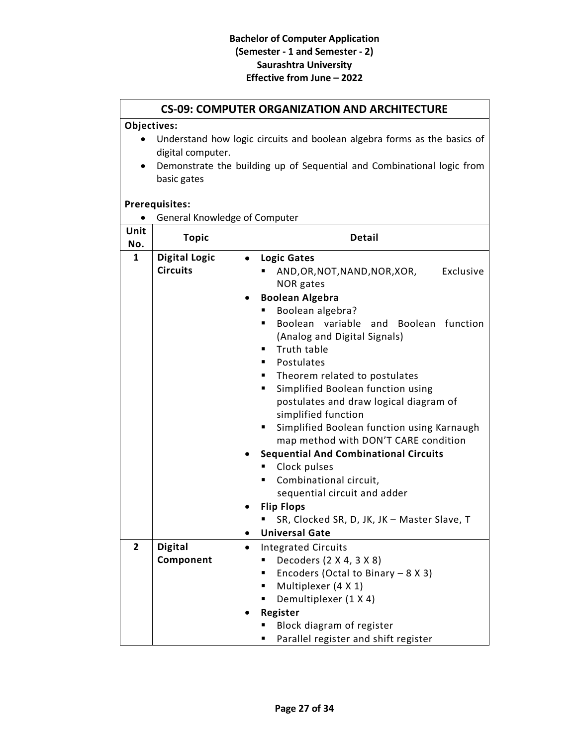# **CS-09: COMPUTER ORGANIZATION AND ARCHITECTURE**

# **Objectives:**

- Understand how logic circuits and boolean algebra forms as the basics of digital computer.
- Demonstrate the building up of Sequential and Combinational logic from basic gates

# **Prerequisites:**

|  |  |  | General Knowledge of Computer |
|--|--|--|-------------------------------|
|--|--|--|-------------------------------|

| Unit<br>No.    | <b>Topic</b>         | <b>Detail</b>                                                    |  |  |
|----------------|----------------------|------------------------------------------------------------------|--|--|
| 1              | <b>Digital Logic</b> | <b>Logic Gates</b><br>$\bullet$                                  |  |  |
|                | <b>Circuits</b>      | Exclusive<br>AND,OR,NOT,NAND,NOR,XOR,                            |  |  |
|                |                      | NOR gates                                                        |  |  |
|                |                      | <b>Boolean Algebra</b>                                           |  |  |
|                |                      | Boolean algebra?                                                 |  |  |
|                |                      | Boolean variable<br>and Boolean function<br>■                    |  |  |
|                |                      | (Analog and Digital Signals)                                     |  |  |
|                |                      | Truth table<br>٠                                                 |  |  |
|                |                      | Postulates<br>٠                                                  |  |  |
|                |                      | Theorem related to postulates<br>. .                             |  |  |
|                |                      | Simplified Boolean function using<br>٠                           |  |  |
|                |                      | postulates and draw logical diagram of                           |  |  |
|                |                      | simplified function                                              |  |  |
|                |                      | Simplified Boolean function using Karnaugh<br>٠                  |  |  |
|                |                      | map method with DON'T CARE condition                             |  |  |
|                |                      | <b>Sequential And Combinational Circuits</b>                     |  |  |
|                |                      | Clock pulses                                                     |  |  |
|                |                      | Combinational circuit,                                           |  |  |
|                |                      | sequential circuit and adder                                     |  |  |
|                |                      | <b>Flip Flops</b><br>SR, Clocked SR, D, JK, JK - Master Slave, T |  |  |
|                |                      | <b>Universal Gate</b><br>$\bullet$                               |  |  |
| $\overline{2}$ | <b>Digital</b>       | <b>Integrated Circuits</b><br>$\bullet$                          |  |  |
|                | Component            | Decoders (2 X 4, 3 X 8)<br>٠                                     |  |  |
|                |                      | Encoders (Octal to Binary $-8 X 3$ )<br>п                        |  |  |
|                |                      | Multiplexer (4 X 1)<br>٠                                         |  |  |
|                |                      | Demultiplexer (1 X 4)<br>٠                                       |  |  |
|                |                      | Register                                                         |  |  |
|                |                      | Block diagram of register                                        |  |  |
|                |                      | Parallel register and shift register<br>٠                        |  |  |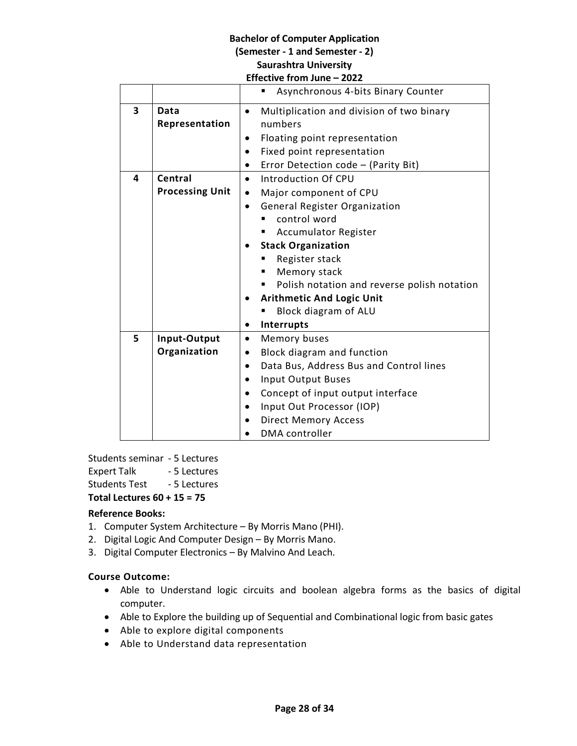|   |                        | <b>IICCUVE IIVIII JUIIC</b>                            |
|---|------------------------|--------------------------------------------------------|
|   |                        | Asynchronous 4-bits Binary Counter                     |
| 3 | Data                   | Multiplication and division of two binary<br>$\bullet$ |
|   | Representation         | numbers                                                |
|   |                        | Floating point representation<br>٠                     |
|   |                        | Fixed point representation<br>$\bullet$                |
|   |                        | Error Detection code - (Parity Bit)<br>$\bullet$       |
| 4 | Central                | Introduction Of CPU<br>$\bullet$                       |
|   | <b>Processing Unit</b> | Major component of CPU<br>$\bullet$                    |
|   |                        | <b>General Register Organization</b><br>$\bullet$      |
|   |                        | control word                                           |
|   |                        | <b>Accumulator Register</b>                            |
|   |                        | <b>Stack Organization</b>                              |
|   |                        | Register stack                                         |
|   |                        | Memory stack                                           |
|   |                        | Polish notation and reverse polish notation<br>٠       |
|   |                        | <b>Arithmetic And Logic Unit</b>                       |
|   |                        | Block diagram of ALU                                   |
|   |                        | <b>Interrupts</b><br>$\bullet$                         |
| 5 | Input-Output           | Memory buses<br>$\bullet$                              |
|   | Organization           | Block diagram and function<br>$\bullet$                |
|   |                        | Data Bus, Address Bus and Control lines<br>$\bullet$   |
|   |                        | <b>Input Output Buses</b><br>$\bullet$                 |
|   |                        | Concept of input output interface<br>$\bullet$         |
|   |                        | Input Out Processor (IOP)<br>$\bullet$                 |
|   |                        | <b>Direct Memory Access</b>                            |
|   |                        | <b>DMA</b> controller                                  |

Students seminar - 5 Lectures Expert Talk - 5 Lectures Students Test - 5 Lectures **Total Lectures 60 + 15 = 75**

# **Reference Books:**

- 1. Computer System Architecture By Morris Mano (PHI).
- 2. Digital Logic And Computer Design By Morris Mano.
- 3. Digital Computer Electronics By Malvino And Leach.

# **Course Outcome:**

- Able to Understand logic circuits and boolean algebra forms as the basics of digital computer.
- Able to Explore the building up of Sequential and Combinational logic from basic gates
- Able to explore digital components
- Able to Understand data representation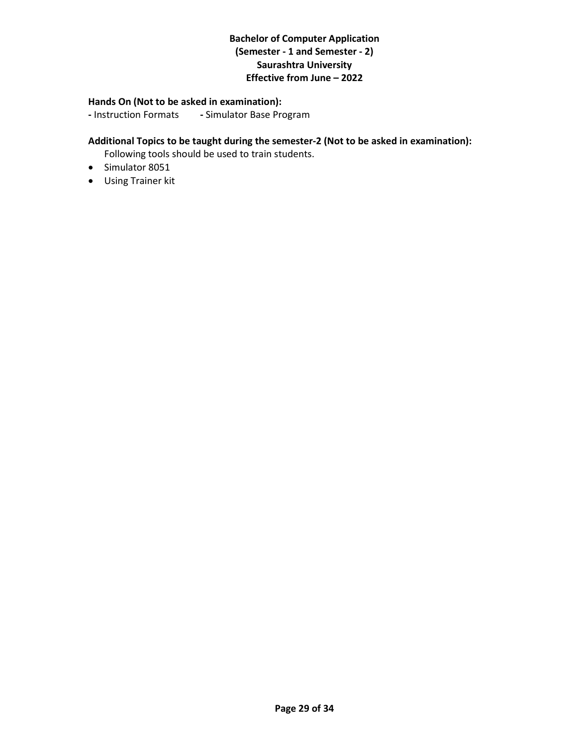#### **Hands On (Not to be asked in examination):**

**-** Instruction Formats **-** Simulator Base Program

# **Additional Topics to be taught during the semester-2 (Not to be asked in examination):**

Following tools should be used to train students.

- Simulator 8051
- Using Trainer kit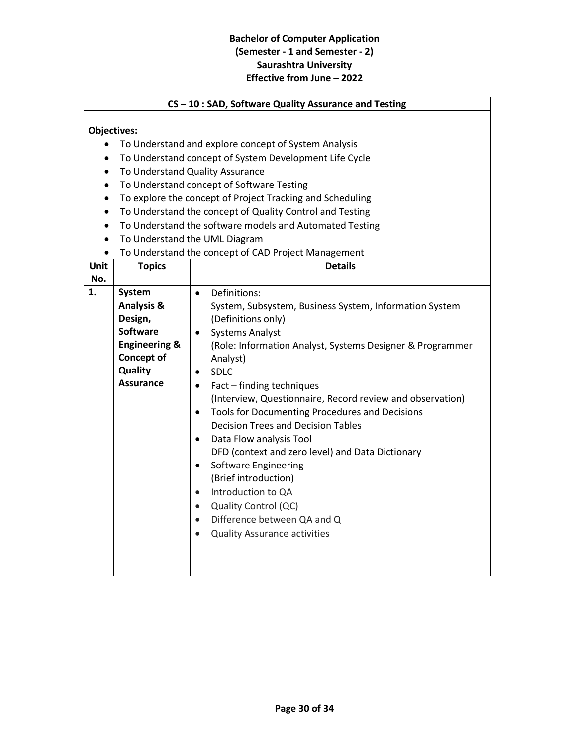#### **CS – 10 : SAD, Software Quality Assurance and Testing**

# **Objectives:**

- To Understand and explore concept of System Analysis
- To Understand concept of System Development Life Cycle
- To Understand Quality Assurance
- To Understand concept of Software Testing
- To explore the concept of Project Tracking and Scheduling
- To Understand the concept of Quality Control and Testing
- To Understand the software models and Automated Testing
- To Understand the UML Diagram
- To Understand the concept of CAD Project Management

| Unit | <b>Topics</b>                                                                                                                          | <b>Details</b>                                                                                                                                                                                                                                                                                                                                                                                                                                                                                                                                                                                                                                                                                                                                                                               |
|------|----------------------------------------------------------------------------------------------------------------------------------------|----------------------------------------------------------------------------------------------------------------------------------------------------------------------------------------------------------------------------------------------------------------------------------------------------------------------------------------------------------------------------------------------------------------------------------------------------------------------------------------------------------------------------------------------------------------------------------------------------------------------------------------------------------------------------------------------------------------------------------------------------------------------------------------------|
| No.  |                                                                                                                                        |                                                                                                                                                                                                                                                                                                                                                                                                                                                                                                                                                                                                                                                                                                                                                                                              |
| 1.   | System<br><b>Analysis &amp;</b><br>Design,<br>Software<br><b>Engineering &amp;</b><br><b>Concept of</b><br>Quality<br><b>Assurance</b> | Definitions:<br>$\bullet$<br>System, Subsystem, Business System, Information System<br>(Definitions only)<br><b>Systems Analyst</b><br>$\bullet$<br>(Role: Information Analyst, Systems Designer & Programmer<br>Analyst)<br><b>SDLC</b><br>$\bullet$<br>Fact - finding techniques<br>$\bullet$<br>(Interview, Questionnaire, Record review and observation)<br>Tools for Documenting Procedures and Decisions<br>$\bullet$<br><b>Decision Trees and Decision Tables</b><br>Data Flow analysis Tool<br>$\bullet$<br>DFD (context and zero level) and Data Dictionary<br>Software Engineering<br>$\bullet$<br>(Brief introduction)<br>Introduction to QA<br>$\bullet$<br>Quality Control (QC)<br>$\bullet$<br>Difference between QA and Q<br>$\bullet$<br><b>Quality Assurance activities</b> |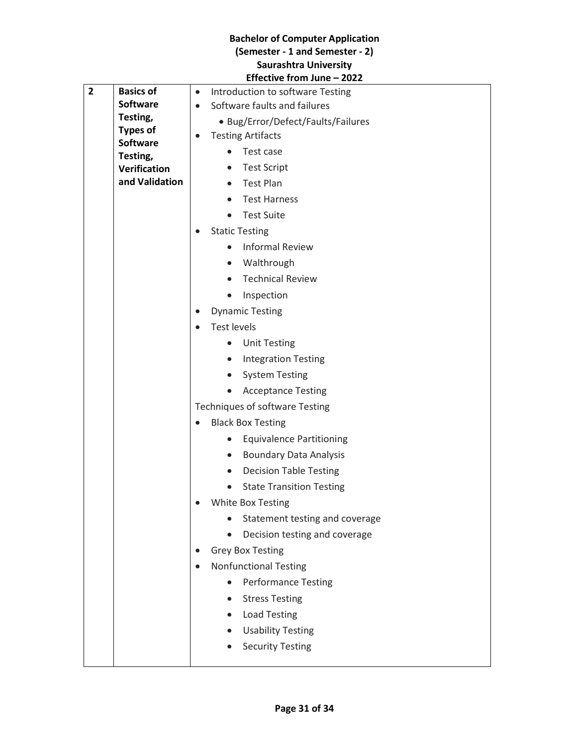|                |                             | Eliective IIOIII Julie – ZUZZ                 |
|----------------|-----------------------------|-----------------------------------------------|
| $\overline{2}$ | <b>Basics of</b>            | Introduction to software Testing<br>$\bullet$ |
|                | <b>Software</b>             | Software faults and failures<br>$\bullet$     |
|                | Testing,<br><b>Types of</b> | • Bug/Error/Defect/Faults/Failures            |
|                | <b>Software</b>             | <b>Testing Artifacts</b>                      |
|                | Testing,                    | Test case<br>$\bullet$                        |
|                | <b>Verification</b>         | <b>Test Script</b><br>$\bullet$               |
|                | and Validation              | <b>Test Plan</b><br>$\bullet$                 |
|                |                             | <b>Test Harness</b><br>$\bullet$              |
|                |                             | <b>Test Suite</b>                             |
|                |                             | <b>Static Testing</b>                         |
|                |                             | <b>Informal Review</b><br>$\bullet$           |
|                |                             | Walthrough<br>$\bullet$                       |
|                |                             | <b>Technical Review</b>                       |
|                |                             | Inspection<br>$\bullet$                       |
|                |                             | <b>Dynamic Testing</b><br>$\bullet$           |
|                |                             | <b>Test levels</b>                            |
|                |                             | <b>Unit Testing</b><br>$\bullet$              |
|                |                             | <b>Integration Testing</b><br>$\bullet$       |
|                |                             | <b>System Testing</b><br>$\bullet$            |
|                |                             | <b>Acceptance Testing</b>                     |
|                |                             | Techniques of software Testing                |
|                |                             | <b>Black Box Testing</b><br>$\bullet$         |
|                |                             | <b>Equivalence Partitioning</b><br>$\bullet$  |
|                |                             | <b>Boundary Data Analysis</b><br>$\bullet$    |
|                |                             | <b>Decision Table Testing</b><br>$\bullet$    |
|                |                             | <b>State Transition Testing</b>               |
|                |                             | White Box Testing                             |
|                |                             | Statement testing and coverage                |
|                |                             | Decision testing and coverage<br>$\bullet$    |
|                |                             | <b>Grey Box Testing</b>                       |
|                |                             | <b>Nonfunctional Testing</b>                  |
|                |                             | <b>Performance Testing</b>                    |
|                |                             | <b>Stress Testing</b>                         |
|                |                             | <b>Load Testing</b><br>$\bullet$              |
|                |                             | <b>Usability Testing</b><br>$\bullet$         |
|                |                             | <b>Security Testing</b>                       |
|                |                             |                                               |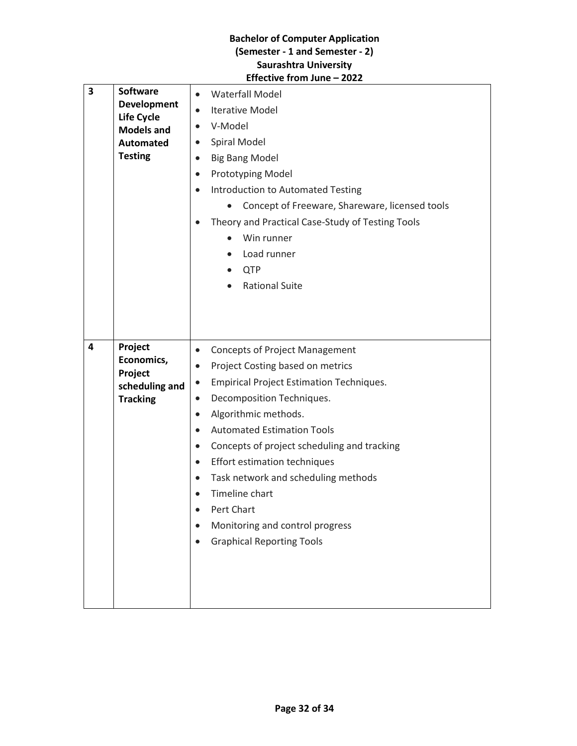| 3 | <b>Software</b><br><b>Development</b><br><b>Life Cycle</b><br><b>Models and</b><br><b>Automated</b><br><b>Testing</b> | <b>Waterfall Model</b><br>$\bullet$<br><b>Iterative Model</b><br>$\bullet$<br>V-Model<br>$\bullet$<br>Spiral Model<br>$\bullet$<br><b>Big Bang Model</b><br>$\bullet$<br>Prototyping Model<br>$\bullet$<br>Introduction to Automated Testing<br>$\bullet$<br>Concept of Freeware, Shareware, licensed tools<br>Theory and Practical Case-Study of Testing Tools<br>Win runner<br>Load runner<br><b>QTP</b><br><b>Rational Suite</b>                                                                                                                                                   |
|---|-----------------------------------------------------------------------------------------------------------------------|---------------------------------------------------------------------------------------------------------------------------------------------------------------------------------------------------------------------------------------------------------------------------------------------------------------------------------------------------------------------------------------------------------------------------------------------------------------------------------------------------------------------------------------------------------------------------------------|
| 4 | Project<br>Economics,<br>Project<br>scheduling and<br><b>Tracking</b>                                                 | <b>Concepts of Project Management</b><br>$\bullet$<br>Project Costing based on metrics<br>$\bullet$<br><b>Empirical Project Estimation Techniques.</b><br>$\bullet$<br>Decomposition Techniques.<br>$\bullet$<br>Algorithmic methods.<br>$\bullet$<br><b>Automated Estimation Tools</b><br>$\bullet$<br>Concepts of project scheduling and tracking<br>$\bullet$<br>Effort estimation techniques<br>$\bullet$<br>Task network and scheduling methods<br>$\bullet$<br>Timeline chart<br>$\bullet$<br>Pert Chart<br>Monitoring and control progress<br><b>Graphical Reporting Tools</b> |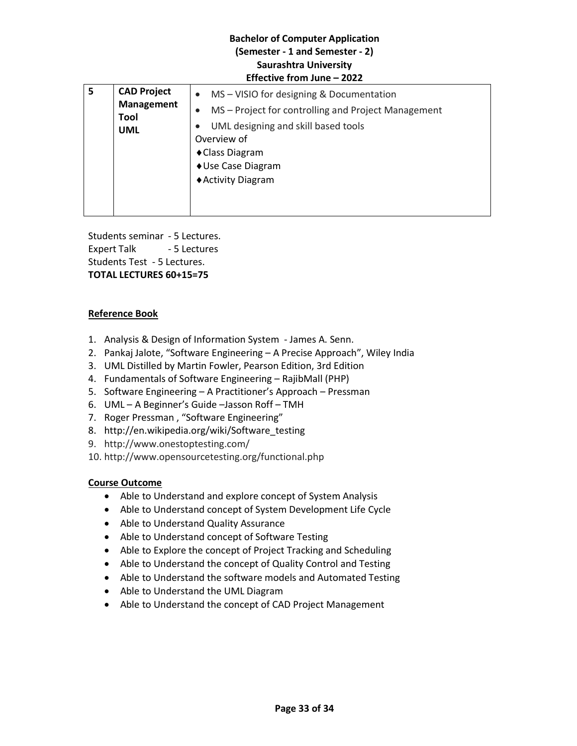| 5 | <b>CAD Project</b><br><b>Management</b><br>Tool<br><b>UML</b> | MS - VISIO for designing & Documentation<br>MS - Project for controlling and Project Management<br>UML designing and skill based tools<br>Overview of<br>◆ Class Diagram<br>♦ Use Case Diagram<br>◆ Activity Diagram |
|---|---------------------------------------------------------------|----------------------------------------------------------------------------------------------------------------------------------------------------------------------------------------------------------------------|
|---|---------------------------------------------------------------|----------------------------------------------------------------------------------------------------------------------------------------------------------------------------------------------------------------------|

Students seminar - 5 Lectures. Expert Talk - 5 Lectures Students Test - 5 Lectures. **TOTAL LECTURES 60+15=75**

# **Reference Book**

- 1. Analysis & Design of Information System James A. Senn.
- 2. Pankaj Jalote, "Software Engineering A Precise Approach", Wiley India
- 3. UML Distilled by Martin Fowler, Pearson Edition, 3rd Edition
- 4. Fundamentals of Software Engineering RajibMall (PHP)
- 5. Software Engineering A Practitioner's Approach Pressman
- 6. UML A Beginner's Guide –Jasson Roff TMH
- 7. Roger Pressman , "Software Engineering"
- 8. http://en.wikipedia.org/wiki/Software\_testing
- 9. http://www.onestoptesting.com/
- 10. http://www.opensourcetesting.org/functional.php

# **Course Outcome**

- Able to Understand and explore concept of System Analysis
- Able to Understand concept of System Development Life Cycle
- Able to Understand Quality Assurance
- Able to Understand concept of Software Testing
- Able to Explore the concept of Project Tracking and Scheduling
- Able to Understand the concept of Quality Control and Testing
- Able to Understand the software models and Automated Testing
- Able to Understand the UML Diagram
- Able to Understand the concept of CAD Project Management